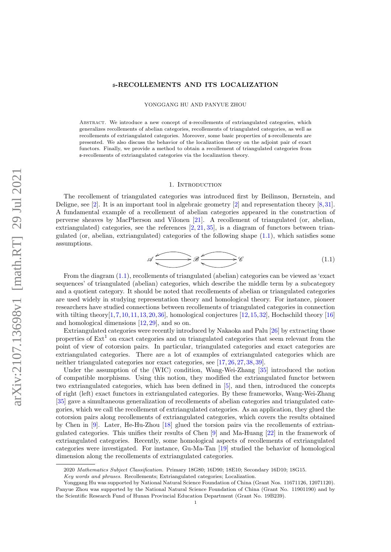# s-RECOLLEMENTS AND ITS LOCALIZATION

YONGGANG HU AND PANYUE ZHOU

Abstract. We introduce a new concept of s-recollements of extriangulated categories, which generalizes recollements of abelian categories, recollements of triangulated categories, as well as recollements of extriangulated categories. Moreover, some basic properties of s-recollements are presented. We also discuss the behavior of the localization theory on the adjoint pair of exact functors. Finally, we provide a method to obtain a recollement of triangulated categories from s-recollements of extriangulated categories via the localization theory.

### 1. INTRODUCTION

The recollement of triangulated categories was introduced first by Beilinson, Bernstein, and Deligne, see [\[2\]](#page-23-0). It is an important tool in algebraic geometry [\[2\]](#page-23-0) and representation theory [\[8,](#page-23-1)[31\]](#page-23-2). A fundamental example of a recollement of abelian categories appeared in the construction of perverse sheaves by MacPherson and Vilonen [\[21\]](#page-23-3). A recollement of triangulated (or, abelian, extriangulated) categories, see the references [\[2,](#page-23-0) [21,](#page-23-3) [35\]](#page-23-4), is a diagram of functors between triangulated (or, abelian, extriangulated) categories of the following shape [\(1.1\)](#page-0-0), which satisfies some assumptions.

<span id="page-0-0"></span>
$$
\mathscr{A} \xrightarrow{\bullet} \mathscr{B} \xrightarrow{\bullet} \mathscr{C} \tag{1.1}
$$

From the diagram [\(1.1\)](#page-0-0), recollements of triangulated (abelian) categories can be viewed as 'exact sequences' of triangulated (abelian) categories, which describe the middle term by a subcategory and a quotient category. It should be noted that recollements of abelian or triangulated categories are used widely in studying representation theory and homological theory. For instance, pioneer researchers have studied connections between recollements of triangulated categories in connection with tilting theory  $[1,7,10,11,13,20,36]$  $[1,7,10,11,13,20,36]$  $[1,7,10,11,13,20,36]$  $[1,7,10,11,13,20,36]$  $[1,7,10,11,13,20,36]$  $[1,7,10,11,13,20,36]$  $[1,7,10,11,13,20,36]$ , homological conjectures  $[12,15,32]$  $[12,15,32]$  $[12,15,32]$ , Hochschild theory  $[16]$ and homological dimensions [\[12,](#page-23-12) [29\]](#page-23-16), and so on.

Extriangulated categories were recently introduced by Nakaoka and Palu [\[26\]](#page-23-17) by extracting those properties of  $Ext<sup>1</sup>$  on exact categories and on triangulated categories that seem relevant from the point of view of cotorsion pairs. In particular, triangulated categories and exact categories are extriangulated categories. There are a lot of examples of extriangulated categories which are neither triangulated categories nor exact categories, see [\[17,](#page-23-18) [26,](#page-23-17) [27,](#page-23-19) [38,](#page-23-20) [39\]](#page-23-21).

Under the assumption of the (WIC) condition, Wang-Wei-Zhang [\[35\]](#page-23-4) introduced the notion of compatible morphisms. Using this notion, they modified the extriangulated functor between two extriangulated categories, which has been defined in [\[5\]](#page-23-22), and then, introduced the concepts of right (left) exact functors in extriangulated categories. By these frameworks, Wang-Wei-Zhang [\[35\]](#page-23-4) gave a simultaneous generalization of recollements of abelian categories and triangulated categories, which we call the recollement of extriangulated categories. As an application, they glued the cotorsion pairs along recollements of extriangulated categories, which covers the results obtained by Chen in [\[9\]](#page-23-23). Later, He-Hu-Zhou [\[18\]](#page-23-24) glued the torsion pairs via the recollements of extriangulated categories. This unifies their results of Chen [\[9\]](#page-23-23) and Ma-Huang [\[22\]](#page-23-25) in the framework of extriangulated categories. Recently, some homological aspects of recollements of extriangulated categories were investigated. For instance, Gu-Ma-Tan [\[19\]](#page-23-26) studied the behavior of homological dimension along the recollements of extriangulated categories.

<sup>2020</sup> Mathematics Subject Classification. Primary 18G80; 16D90; 18E10; Secondary 16D10; 18G15.

Key words and phrases. Recollements; Extriangulated categories; Localization.

Yonggang Hu was supported by National Natural Science Foundation of China (Grant Nos. 11671126, 12071120). Panyue Zhou was supported by the National Natural Science Foundation of China (Grant No. 11901190) and by the Scientific Research Fund of Hunan Provincial Education Department (Grant No. 19B239).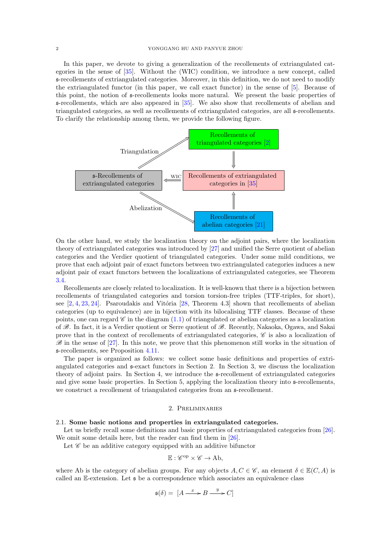## 2 YONGGANG HU AND PANYUE ZHOU

In this paper, we devote to giving a generalization of the recollements of extriangulated categories in the sense of [\[35\]](#page-23-4). Without the (WIC) condition, we introduce a new concept, called s-recollements of extriangulated categories. Moreover, in this definition, we do not need to modify the extriangulated functor (in this paper, we call exact functor) in the sense of [\[5\]](#page-23-22). Because of this point, the notion of s-recollements looks more natural. We present the basic properties of s-recollements, which are also appeared in [\[35\]](#page-23-4). We also show that recollements of abelian and triangulated categories, as well as recollements of extriangulated categories, are all s-recollements. To clarify the relationship among them, we provide the following figure.



On the other hand, we study the localization theory on the adjoint pairs, where the localization theory of extriangulated categories was introduced by [\[27\]](#page-23-19) and unified the Serre quotient of abelian categories and the Verdier quotient of triangulated categories. Under some mild conditions, we prove that each adjoint pair of exact functors between two extriangulated categories induces a new adjoint pair of exact functors between the localizations of extriangulated categories, see Theorem [3.4.](#page-4-0)

Recollements are closely related to localization. It is well-known that there is a bijection between recollements of triangulated categories and torsion torsion-free triples (TTF-triples, for short), see  $[2, 4, 23, 24]$  $[2, 4, 23, 24]$  $[2, 4, 23, 24]$  $[2, 4, 23, 24]$  $[2, 4, 23, 24]$  $[2, 4, 23, 24]$  $[2, 4, 23, 24]$ . Psaroudakis and Vitória  $[28,$  Theorem 4.3] shown that recollements of abelian categories (up to equivalence) are in bijection with its bilocalising TTF classes. Because of these points, one can regard  $\mathscr C$  in the diagram [\(1.1\)](#page-0-0) of triangulated or abelian categories as a localization of  $\mathscr{B}$ . In fact, it is a Verdier quotient or Serre quotient of  $\mathscr{B}$ . Recently, Nakaoka, Ogawa, and Sakai prove that in the context of recollements of extriangulated categories,  $\mathscr C$  is also a localization of  $\mathscr{B}$  in the sense of [\[27\]](#page-23-19). In this note, we prove that this phenomenon still works in the situation of s-recollements, see Proposition [4.11.](#page-17-0)

The paper is organized as follows: we collect some basic definitions and properties of extriangulated categories and s-exact functors in Section 2. In Section 3, we discuss the localization theory of adjoint pairs. In Section 4, we introduce the s-recollement of extriangulated categories and give some basic properties. In Section 5, applying the localization theory into s-recollements, we construct a recollement of triangulated categories from an  $\mathfrak{s}$ -recollement.

### 2. Preliminaries

#### 2.1. Some basic notions and properties in extriangulated categories.

Let us briefly recall some definitions and basic properties of extriangulated categories from [\[26\]](#page-23-17). We omit some details here, but the reader can find them in [\[26\]](#page-23-17).

Let  $\mathscr C$  be an additive category equipped with an additive bifunctor

$$
\mathbb{E}: \mathscr{C}^{op} \times \mathscr{C} \to \mathrm{Ab},
$$

where Ab is the category of abelian groups. For any objects  $A, C \in \mathscr{C}$ , an element  $\delta \in \mathbb{E}(C, A)$  is called an E-extension. Let s be a correspondence which associates an equivalence class

$$
\mathfrak{s}(\delta) = [A \xrightarrow{x} B \xrightarrow{y} C]
$$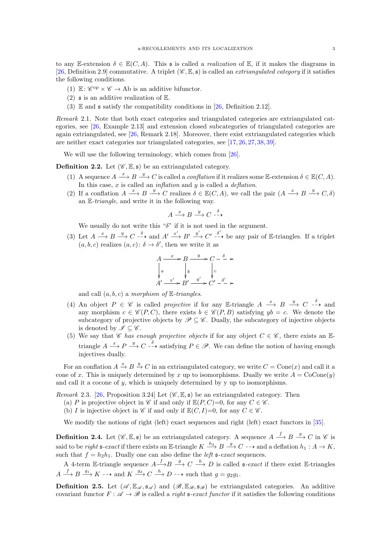to any E-extension  $\delta \in \mathbb{E}(C, A)$ . This s is called a *realization* of E, if it makes the diagrams in [\[26,](#page-23-17) Definition 2.9] commutative. A triplet  $(\mathscr{C}, \mathbb{E}, \mathfrak{s})$  is called an *extriangulated category* if it satisfies the following conditions.

- (1)  $\mathbb{E}: \mathscr{C}^{\mathrm{op}} \times \mathscr{C} \to \mathrm{Ab}$  is an additive bifunctor.
- (2)  $\mathfrak s$  is an additive realization of  $\mathbb E$ .
- (3)  $\mathbb E$  and  $\mathfrak s$  satisfy the compatibility conditions in [\[26,](#page-23-17) Definition 2.12].

Remark 2.1. Note that both exact categories and triangulated categories are extriangulated categories, see [\[26,](#page-23-17) Example 2.13] and extension closed subcategories of triangulated categories are again extriangulated, see [\[26,](#page-23-17) Remark 2.18]. Moreover, there exist extriangulated categories which are neither exact categories nor triangulated categories, see [\[17,](#page-23-18) [26,](#page-23-17) [27,](#page-23-19) [38,](#page-23-20) [39\]](#page-23-21).

We will use the following terminology, which comes from [\[26\]](#page-23-17).

**Definition 2.2.** Let  $(\mathscr{C}, \mathbb{E}, \mathfrak{s})$  be an extriangulated category.

- (1) A sequence  $A \xrightarrow{x} B \xrightarrow{y} C$  is called a *conflation* if it realizes some E-extension  $\delta \in \mathbb{E}(C, A)$ . In this case, x is called an *inflation* and  $\dot{y}$  is called a *deflation*.
- (2) If a conflation  $A \xrightarrow{x} B \xrightarrow{y} C$  realizes  $\delta \in \mathbb{E}(C, A)$ , we call the pair  $(A \xrightarrow{x} B \xrightarrow{y} C, \delta)$ an E-triangle, and write it in the following way.

$$
A \xrightarrow{x} B \xrightarrow{y} C \xrightarrow{-\delta}
$$

We usually do not write this " $\delta$ " if it is not used in the argument.

(3) Let  $A \stackrel{x}{\longrightarrow} B \stackrel{y}{\longrightarrow} C \stackrel{\delta}{\longrightarrow}$  and  $A' \stackrel{x'}{\longrightarrow} B' \stackrel{y'}{\longrightarrow} C' \stackrel{\delta'}{\longrightarrow}$  be any pair of E-triangles. If a triplet  $(a, b, c)$  realizes  $(a, c)$ :  $\delta \rightarrow \delta'$ , then we write it as

$$
A \xrightarrow{x} B \xrightarrow{y} C - \xrightarrow{\delta} \rightarrow
$$
  
\n
$$
\downarrow a \qquad \qquad \downarrow b \qquad \qquad \downarrow c
$$
  
\n
$$
A' \xrightarrow{x'} B' \xrightarrow{y'} C' - \xrightarrow{\delta'} \rightarrow
$$

and call  $(a, b, c)$  a morphism of E-triangles.

- (4) An object  $P \in \mathscr{C}$  is called *projective* if for any E-triangle  $A \stackrel{x}{\longrightarrow} B \stackrel{y}{\longrightarrow} C \stackrel{\delta}{\longrightarrow}$  and any morphism  $c \in \mathscr{C}(P, C)$ , there exists  $b \in \mathscr{C}(P, B)$  satisfying  $yb = c$ . We denote the subcategory of projective objects by  $\mathscr{P} \subseteq \mathscr{C}$ . Dually, the subcategory of injective objects is denoted by  $\mathscr{I} \subseteq \mathscr{C}$ .
- (5) We say that C has enough projective objects if for any object  $C \in \mathscr{C}$ , there exists an Etriangle  $A \stackrel{x}{\longrightarrow} P \stackrel{y}{\longrightarrow} C \stackrel{\delta}{\longrightarrow}$  satisfying  $P \in \mathscr{P}$ . We can define the notion of having enough injectives dually.

For an conflation  $A \xrightarrow{x} B \xrightarrow{y} C$  in an extriangulated category, we write  $C = \text{Cone}(x)$  and call it a cone of x. This is uniquely determined by x up to isomorphisms. Dually we write  $A = \text{CoCone}(y)$ and call it a cocone of  $y$ , which is uniquely determined by  $y$  up to isomorphisms.

Remark 2.3. [\[26,](#page-23-17) Proposition 3.24] Let  $(\mathscr{C}, \mathbb{E}, \mathfrak{s})$  be an extriangulated category. Then

- (a) P is projective object in C if and only if  $\mathbb{E}(P, C)=0$ , for any  $C \in \mathscr{C}$ .
- (b) I is injective object in  $\mathscr C$  if and only if  $\mathbb E(C, I)=0$ , for any  $C \in \mathscr C$ .

We modify the notions of right (left) exact sequences and right (left) exact functors in [\[35\]](#page-23-4).

**Definition 2.4.** Let  $(\mathscr{C}, \mathbb{E}, \mathfrak{s})$  be an extriangulated category. A sequence  $A \stackrel{f}{\longrightarrow} B \stackrel{g}{\longrightarrow} C$  in  $\mathscr{C}$  is said to be *right*  $\mathfrak{s}\text{-}exact$  if there exists an  $\mathbb{E}\text{-}triangle K \xrightarrow{h_2} B \xrightarrow{g} C \rightarrow \text{and a deflation } h_1 : A \rightarrow K$ , such that  $f = h_2 h_1$ . Dually one can also define the *left*  $\mathfrak{s}\text{-}exact$  sequences.

A 4-term E-triangle sequence  $A \xrightarrow{f} B \xrightarrow{g} C \xrightarrow{h} D$  is called  $\mathfrak{s}\text{-}exact$  if there exist E-triangles  $A \xrightarrow{f} B \xrightarrow{g_1} K \dashrightarrow$  and  $K \xrightarrow{g_2} C \xrightarrow{h} D \dashrightarrow$  such that  $g = g_2g_1$ .

**Definition 2.5.** Let  $(\mathscr{A}, \mathbb{E}_{\mathscr{A}}, \mathfrak{s}_{\mathscr{A}})$  and  $(\mathscr{B}, \mathbb{E}_{\mathscr{B}}, \mathfrak{s}_{\mathscr{B}})$  be extriangulated categories. An additive covariant functor  $F: \mathscr{A} \to \mathscr{B}$  is called a *right*  $\mathfrak{s}\text{-}exact$  functor if it satisfies the following conditions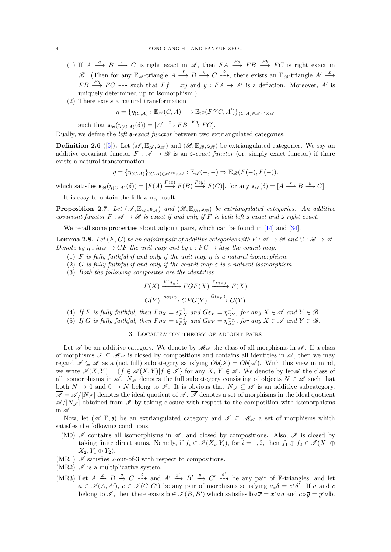- (1) If  $A \stackrel{a}{\longrightarrow} B \stackrel{b}{\longrightarrow} C$  is right exact in  $\mathscr{A}$ , then  $FA \stackrel{Fa}{\longrightarrow} FB \stackrel{Fb}{\longrightarrow} FC$  is right exact in B. (Then for any  $\mathbb{E}_{\mathscr{A}}$ -triangle  $A \stackrel{f}{\longrightarrow} B \stackrel{g}{\longrightarrow} C \stackrel{\delta}{\longrightarrow}$ , there exists an  $\mathbb{E}_{\mathscr{B}}$ -triangle  $A' \stackrel{x}{\longrightarrow}$  $FB \xrightarrow{Fg} FC \dashrightarrow$  such that  $Ff = xy$  and  $y : FA \to A'$  is a deflation. Moreover, A' is uniquely determined up to isomorphism.)
- (2) There exists a natural transformation

$$
\eta = \{ \eta_{(C,A)} : \mathbb{E}_{\mathscr{A}}(C,A) \longrightarrow \mathbb{E}_{\mathscr{B}}(F^{op}C,A') \}_{(C,A) \in \mathscr{A}^{op} \times \mathscr{A}}
$$

such that  $\mathfrak{s}_{\mathscr{B}}(\eta_{(C,A)}(\delta)) = [A' \stackrel{x}{\longrightarrow} FB \stackrel{Fg}{\longrightarrow} FC].$ 

Dually, we define the *left*  $\mathfrak{s}\text{-}exact$  functor between two extriangulated categories.

**Definition 2.6** ([\[5\]](#page-23-22)). Let  $(\mathscr{A}, \mathbb{E}_{\mathscr{A}}, \mathfrak{s}_{\mathscr{A}})$  and  $(\mathscr{B}, \mathbb{E}_{\mathscr{B}}, \mathfrak{s}_{\mathscr{B}})$  be extriangulated categories. We say an additive covariant functor  $F : \mathscr{A} \to \mathscr{B}$  is an  $\mathfrak{s}\text{-}exact$  functor (or, simply exact functor) if there exists a natural transformation

$$
\eta = \{ \eta_{(C,A)} \}_{(C,A) \in \mathscr{A}^{\mathrm{op}} \times \mathscr{A}} : \mathbb{E}_{\mathscr{A}}(-,-) \Rightarrow \mathbb{E}_{\mathscr{B}}(F(-),F(-)).
$$

which satisfies  $\mathfrak{s}_{\mathscr{B}}(\eta_{(C,A)}(\delta)) = [F(A) \stackrel{F(x)}{\longrightarrow} F(B) \stackrel{F(y)}{\longrightarrow} F(C)].$  for any  $\mathfrak{s}_{\mathscr{A}}(\delta) = [A \stackrel{x}{\longrightarrow} B \stackrel{y}{\longrightarrow} C].$ 

It is easy to obtain the following result.

**Proposition 2.7.** Let  $(\mathscr{A}, \mathbb{E}_{\mathscr{A}}, \mathfrak{s}_{\mathscr{A}})$  and  $(\mathscr{B}, \mathbb{E}_{\mathscr{B}}, \mathfrak{s}_{\mathscr{B}})$  be extriangulated categories. An additive covariant functor  $F : \mathscr{A} \to \mathscr{B}$  is exact if and only if F is both left s-exact and s-right exact.

We recall some properties about adjoint pairs, which can be found in [\[14\]](#page-23-31) and [\[34\]](#page-23-32).

<span id="page-3-0"></span>**Lemma 2.8.** Let  $(F, G)$  be an adjoint pair of additive categories with  $F : \mathscr{A} \to \mathscr{B}$  and  $G : \mathscr{B} \to \mathscr{A}$ . Denote by  $\eta : id_{\mathscr{A}} \to GF$  the unit map and by  $\varepsilon : FG \to id_{\mathscr{B}}$  the counit map.

- (1) F is fully faithful if and only if the unit map  $\eta$  is a natural isomorphism.
- (2) G is fully faithful if and only if the counit map  $\varepsilon$  is a natural isomorphism.
- (3) Both the following composites are the identities

$$
F(X) \xrightarrow{F(\eta_X)} FGF(X) \xrightarrow{\varepsilon_{F(X)}} F(X)
$$
  

$$
G(Y) \xrightarrow{\eta_{G(Y)}} GFG(Y) \xrightarrow{G(\varepsilon_Y)} G(Y).
$$

- (4) If F is fully faithful, then  $F\eta_X = \varepsilon_{FX}^{-1}$  and  $G\varepsilon_Y = \eta_{GY}^{-1}$ , for any  $X \in \mathscr{A}$  and  $Y \in \mathscr{B}$ .
- (5) If G is fully faithful, then  $F\eta_X = \varepsilon_{FX}^{-1}$  and  $G\varepsilon_Y = \eta_{GY}^{-1}$ , for any  $X \in \mathscr{A}$  and  $Y \in \mathscr{B}$ .

## 3. Localization theory of adjoint pairs

<span id="page-3-1"></span>Let  $\mathscr A$  be an additive category. We denote by  $\mathscr M_{\mathscr A}$  the class of all morphisms in  $\mathscr A$ . If a class of morphisms  $\mathscr{I} \subseteq \mathscr{M}_{\mathscr{A}}$  is closed by compositions and contains all identities in  $\mathscr{A}$ , then we may regard  $\mathscr{I} \subset \mathscr{A}$  as a (not full) subcategory satisfying  $Ob(\mathscr{I}) = Ob(\mathscr{A})$ . With this view in mind, we write  $\mathscr{I}(X,Y) = \{f \in \mathscr{A}(X,Y) | f \in \mathscr{I}\}\$  for any X,  $Y \in \mathscr{A}$ . We denote by Iso $\mathscr{A}$  the class of all isomorphisms in  $\mathscr{A}$ .  $N_{\mathscr{I}}$  denotes the full subcategory consisting of objects  $N \in \mathscr{A}$  such that both  $N \to 0$  and  $0 \to N$  belong to  $\mathscr{I}$ . It is obvious that  $N_{\mathscr{I}} \subseteq \mathscr{A}$  is an additive subcategory.  $\overline{\mathscr{A}} = \mathscr{A}/[N_{\mathscr{I}}]$  denotes the ideal quotient of  $\mathscr{A}$ .  $\overline{\mathscr{I}}$  denotes a set of morphisms in the ideal quotient  $\mathscr{A}/[N_{\mathscr{I}}]$  obtained from  $\mathscr{I}$  by taking closure with respect to the composition with isomorphisms in  $\mathscr A$ .

Now, let  $(\mathscr{A}, \mathbb{E}, \mathfrak{s})$  be an extriangulated category and  $\mathscr{I} \subseteq \mathscr{M}_{\mathscr{A}}$  a set of morphisms which satisfies the following conditions.

- (M0)  $\mathscr I$  contains all isomorphisms in  $\mathscr A$ , and closed by compositions. Also,  $\mathscr I$  is closed by taking finite direct sums. Namely, if  $f_i \in \mathscr{I}(X_i, Y_i)$ , for  $i = 1, 2$ , then  $f_1 \oplus f_2 \in \mathscr{I}(X_1 \oplus Y_1)$  $X_2, Y_1 \oplus Y_2$ ).
- (MR1)  $\overline{\mathscr{I}}$  satisfies 2-out-of-3 with respect to compositions.
- $(MR2)$   $\overline{\mathscr{I}}$  is a multiplicative system.
- (MR3) Let  $A \xrightarrow{x} B \xrightarrow{y} C \xrightarrow{-\delta}$  and  $A' \xrightarrow{x'} B' \xrightarrow{y'} C' \xrightarrow{-\delta}$  be any pair of E-triangles, and let  $a \in \mathscr{I}(A, A'), c \in \mathscr{I}(C, C')$  be any pair of morphisms satisfying  $a_*\delta = c^*\delta'$ . If a and c belong to  $\mathscr{I}$ , then there exists  $\mathbf{b} \in \mathscr{I}(B, B')$  which satisfies  $\mathbf{b} \circ \overline{x} = \overline{x'} \circ a$  and  $c \circ \overline{y} = \overline{y'} \circ \mathbf{b}$ .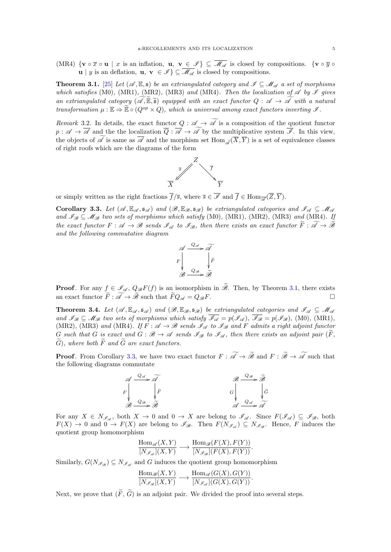(MR4)  $\{v \circ \overline{x} \circ u \mid x \text{ is an inflation}, u, v \in \mathscr{I}\}\subseteq \overline{\mathscr{M}_{\mathscr{A}}}$  is closed by compositions.  $\{v \circ \overline{y} \circ u\}$ **u** | y is an deflation, **u**,  $\mathbf{v} \in \mathcal{I}$   $\subseteq \overline{\mathcal{M}_{\mathcal{A}}}$  is closed by compositions.

<span id="page-4-1"></span>**Theorem 3.1.** [\[25\]](#page-23-33) Let  $(\mathscr{A}, \mathbb{E}, \mathfrak{s})$  be an extriangulated category and  $\mathscr{I} \subseteq \mathscr{M}_{\mathscr{A}}$  a set of morphisms which satisfies (M0), (MR1), (MR2), (MR3) and (MR4). Then the localization of  $\mathscr A$  by  $\mathscr I$  gives an extriangulated category  $(\mathscr{A}, \mathbb{E}, \tilde{\mathfrak{s}})$  equipped with an exact functor  $Q : \mathscr{A} \to \widetilde{\mathscr{A}}$  with a natural transformation  $\mu : \mathbb{E} \Rightarrow \mathbb{E} \circ (Q^{op} \times Q)$ , which is universal among exact functors inverting  $\mathcal{I}$ .

Remark 3.2. In details, the exact functor  $Q : \mathscr{A} \to \widetilde{\mathscr{A}}$  is a composition of the quotient functor  $p: \mathscr{A} \to \overline{\mathscr{A}}$  and the the localization  $\overline{Q}: \overline{\mathscr{A}} \to \widetilde{\mathscr{A}}$  by the multiplicative system  $\overline{\mathscr{I}}$ . In this view, the objects of  $\widetilde{\mathscr{A}}$  is same as  $\overline{\mathscr{A}}$  and the morphism set Hom  $\widetilde{\mathscr{A}}(\overline{X}, \overline{Y})$  is a set of equivalence classes of right roofs which are the diagrams of the form



or simply written as the right fractions  $\overline{f}/\overline{s}$ , where  $\overline{s} \in \overline{\mathscr{I}}$  and  $\overline{f} \in \text{Hom}_{\overline{\mathscr{A}}}(\overline{Z}, \overline{Y})$ .

<span id="page-4-2"></span>Corollary 3.3. Let  $(\mathscr{A}, \mathbb{E}_{\mathscr{A}}, \mathfrak{s}_{\mathscr{A}})$  and  $(\mathscr{B}, \mathbb{E}_{\mathscr{B}}, \mathfrak{s}_{\mathscr{B}})$  be extriangulated categories and  $\mathscr{I}_{\mathscr{A}} \subseteq \mathscr{M}_{\mathscr{A}}$ and  $\mathscr{I}_{\mathscr{B}} \subseteq \mathscr{M}_{\mathscr{B}}$  two sets of morphisms which satisfy (M0), (MR1), (MR2), (MR3) and (MR4). If the exact functor  $F: \mathscr{A} \to \mathscr{B}$  sends  $\mathscr{I}_{\mathscr{A}}$  to  $\mathscr{I}_{\mathscr{B}}$ , then there exists an exact functor  $\widetilde{F}: \widetilde{\mathscr{A}} \to \widetilde{\mathscr{B}}$ and the following commutative diagram



**Proof.** For any  $f \in \mathcal{I}_{\mathscr{A}}, Q_{\mathscr{B}}F(f)$  is an isomorphism in  $\widetilde{\mathscr{B}}$ . Then, by Theorem [3.1,](#page-4-1) there exists an exact functor  $\widetilde{F} : \widetilde{\mathscr{A}} \to \widetilde{\mathscr{B}}$  such that  $\widetilde{F}Q_{\mathscr{A}} = Q_{\mathscr{B}}F$ . an exact functor  $\widetilde{F}: \widetilde{\mathscr{A}} \to \widetilde{\mathscr{B}}$  such that  $\widetilde{F} Q_{\mathscr{A}} = Q_{\mathscr{B}} F$ .

<span id="page-4-0"></span>**Theorem 3.4.** Let  $(\mathscr{A}, \mathbb{E}_{\mathscr{A}}, \mathfrak{s}_{\mathscr{A}})$  and  $(\mathscr{B}, \mathbb{E}_{\mathscr{B}}, \mathfrak{s}_{\mathscr{B}})$  be extriangulated categories and  $\mathscr{I}_{\mathscr{A}} \subseteq \mathscr{M}_{\mathscr{A}}$ and  $\mathscr{I}_{\mathscr{B}} \subseteq \mathscr{M}_{\mathscr{B}}$  two sets of morphisms which satisfy  $\overline{\mathscr{I}_{\mathscr{A}}} = p(\mathscr{I}_{\mathscr{A}}), \overline{\mathscr{I}_{\mathscr{B}}} = p(\mathscr{I}_{\mathscr{B}}),$  (M0), (MR1), (MR2), (MR3) and (MR4). If  $F : \mathscr{A} \to \mathscr{B}$  sends  $\mathscr{I}_{\mathscr{A}}$  to  $\mathscr{I}_{\mathscr{B}}$  and F admits a right adjoint functor G such that G is exact and  $G : \mathcal{B} \to \mathcal{A}$  sends  $\mathcal{I}_{\mathcal{B}}$  to  $\mathcal{I}_{\mathcal{A}}$ , then there exists an adjoint pair  $(\widetilde{F},$  $\widetilde{G}$ ), where both  $\widetilde{F}$  and  $\widetilde{G}$  are exact functors.

**Proof.** From Corollary [3.3,](#page-4-2) we have two exact functor  $F : \widetilde{\mathscr{A}} \to \widetilde{\mathscr{B}}$  and  $F : \widetilde{\mathscr{B}} \to \widetilde{\mathscr{A}}$  such that the following diagrams commutate



For any  $X \in N_{\mathscr{I}_{\mathscr{A}}}$ , both  $X \to 0$  and  $0 \to X$  are belong to  $\mathscr{I}_{\mathscr{A}}$ . Since  $F(\mathscr{I}_{\mathscr{A}}) \subseteq \mathscr{I}_{\mathscr{B}}$ , both  $F(X) \to 0$  and  $0 \to F(X)$  are belong to  $\mathscr{I}_{\mathscr{B}}$ . Then  $F(N_{\mathscr{I}_{\mathscr{A}}}) \subseteq N_{\mathscr{I}_{\mathscr{B}}}$ . Hence, F induces the quotient group homomorphism

$$
\frac{\text{Hom}_{\mathscr{A}}(X,Y)}{[N_{\mathscr{I}_{\mathscr{A}}}](X,Y)} \longrightarrow \frac{\text{Hom}_{\mathscr{B}}(F(X), F(Y))}{[N_{\mathscr{I}_{\mathscr{B}}}](F(X), F(Y))}.
$$

Similarly,  $G(N_{\mathscr{I}_{\mathscr{B}}}) \subseteq N_{\mathscr{I}_{\mathscr{A}}}$  and G induces the quotient group homomorphism

$$
\frac{\text{Hom}_{\mathscr{B}}(X,Y)}{[N_{\mathscr{I}_{\mathscr{B}}}](X,Y)} \longrightarrow \frac{\text{Hom}_{\mathscr{A}}(G(X),G(Y))}{[N_{\mathscr{I}_{\mathscr{A}}}](G(X),G(Y))}.
$$

Next, we prove that  $(\widetilde{F}, \widetilde{G})$  is an adjoint pair. We divided the proof into several steps.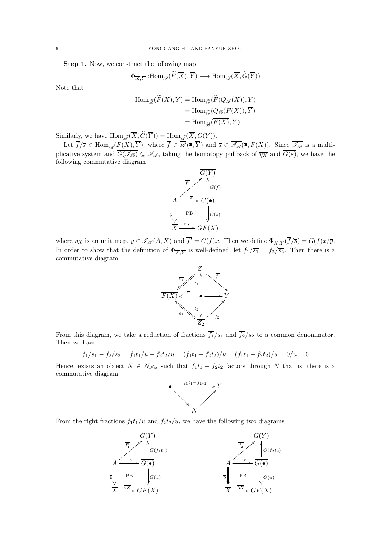Step 1. Now, we construct the following map

$$
\Phi_{\overline{X},\overline{Y}}:\text{Hom}_{\widetilde{\mathscr{B}}}(\widetilde{F}(\overline{X}),\overline{Y})\longrightarrow \text{Hom}_{\widetilde{\mathscr{A}}}(\overline{X},\widetilde{G}(\overline{Y}))
$$

Note that

$$
\text{Hom}_{\widetilde{\mathcal{B}}}(\widetilde{F}(\overline{X}), \overline{Y}) = \text{Hom}_{\widetilde{\mathcal{B}}}(\widetilde{F}(Q_{\mathscr{A}}(X)), \overline{Y})
$$
\n
$$
= \text{Hom}_{\widetilde{\mathcal{B}}}(Q_{\mathscr{B}}(F(X)), \overline{Y})
$$
\n
$$
= \text{Hom}_{\widetilde{\mathcal{B}}}(\overline{F(X)}, \overline{Y})
$$

Similarly, we have  $\text{Hom}_{\widetilde{\mathscr{A}}}(X, G(Y)) = \text{Hom}_{\widetilde{\mathscr{A}}}(X, G(Y)).$ 

Let  $f/\overline{s} \in \text{Hom}_{\widetilde{\mathscr{B}}}(F(X), Y)$ , where  $f \in \mathscr{A}(\overline{\bullet}, Y)$  and  $\overline{s} \in \mathscr{I}_{\mathscr{A}}(\overline{\bullet}, F(X))$ . Since  $\mathscr{I}_{\mathscr{B}}$  is a multiplicative system and  $\overline{G(\mathscr{I}_{\mathscr{B}})} \subseteq \overline{\mathscr{I}_{\mathscr{A}}}$ , taking the homotopy pullback of  $\overline{\eta_X}$  and  $\overline{G(s)}$ , we have the following commutative diagram



where  $\eta_X$  is an unit map,  $y \in \mathscr{I}_{\mathscr{A}}(A, X)$  and  $\overline{f'} = G(f)x$ . Then we define  $\Phi_{\overline{X}, \overline{Y}}(\overline{f}/\overline{s}) = G(f)x/\overline{y}$ . In order to show that the definition of  $\Phi_{\overline{X},\overline{Y}}$  is well-defined, let  $f_1/\overline{s_1} = f_2/\overline{s_2}$ . Then there is a commutative diagram



From this diagram, we take a reduction of fractions  $\overline{f_1}/\overline{s_1}$  and  $\overline{f_2}/\overline{s_2}$  to a common denominator. Then we have

$$
\overline{f_1}/\overline{s_1} - \overline{f_2}/\overline{s_2} = \overline{f_1t_1}/\overline{u} - \overline{f_2t_2}/\overline{u} = (\overline{f_1t_1} - \overline{f_2t_2})/\overline{u} = (\overline{f_1t_1 - f_2t_2})/\overline{u} = 0/\overline{u} = 0
$$

Hence, exists an object  $N \in N_{\mathscr{I}_{\mathscr{B}}}$  such that  $f_1t_1 - f_2t_2$  factors through N that is, there is a commutative diagram.



From the right fractions  $\overline{f_1t_1}/\overline{u}$  and  $\overline{f_2t_2}/\overline{u}$ , we have the following two diagrams

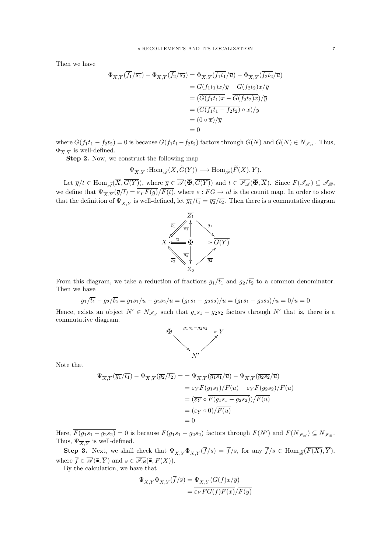Then we have

$$
\Phi_{\overline{X},\overline{Y}}(\overline{f_1}/\overline{s_1}) - \Phi_{\overline{X},\overline{Y}}(\overline{f_2}/\overline{s_2}) = \Phi_{\overline{X},\overline{Y}}(\overline{f_1t_1}/\overline{u}) - \Phi_{\overline{X},\overline{Y}}(\overline{f_2t_2}/\overline{u})
$$
  
\n
$$
= \overline{G(f_1t_1)x}/\overline{y} - \overline{G(f_2t_2)x}/\overline{y}
$$
  
\n
$$
= (\overline{G(f_1t_1)x} - \overline{G(f_2t_2)x})/\overline{y}
$$
  
\n
$$
= (\overline{G(f_1t_1 - f_2t_2)} \circ \overline{x})/\overline{y}
$$
  
\n
$$
= (0 \circ \overline{x})/\overline{y}
$$
  
\n
$$
= 0
$$

where  $\overline{G(f_1t_1-f_2t_2)}=0$  is because  $G(f_1t_1-f_2t_2)$  factors through  $G(N)$  and  $G(N) \in N_{\mathscr{I}_{\mathscr{A}}}$ . Thus,  $\Phi_{\overline{X},\overline{Y}}$  is well-defined.

Step 2. Now, we construct the following map

$$
\Psi_{\overline{X},\overline{Y}} \hspace{1pt}:\hspace{1pt} \text{Hom}_{\widetilde{\mathscr{A}}}(\overline{X},\widetilde{G}(\overline{Y})) \longrightarrow \text{Hom}_{\widetilde{\mathscr{B}}}(\widetilde{F}(\overline{X}),\overline{Y}).
$$

Let  $\overline{g}/\overline{t} \in \text{Hom}_{\widetilde{\mathscr{A}}}(\overline{X},\overline{G(Y)}),$  where  $\overline{g} \in \overline{\mathscr{A}}(\overline{\mathbf{\Phi}},\overline{G(Y)})$  and  $\overline{t} \in \overline{\mathscr{I}_{\mathscr{A}}}(\overline{\mathbf{\Phi}},\overline{X}).$  Since  $F(\mathscr{I}_{\mathscr{A}}) \subseteq \mathscr{I}_{\mathscr{B}},$ we define that  $\Psi_{\overline{X},\overline{Y}}(\overline{g}/\overline{t}) = \varepsilon_Y F(g)/F(t)$ , where  $\varepsilon : FG \to id$  is the counit map. In order to show that the definition of  $\Psi_{\overline{X},\overline{Y}}$  is well-defined, let  $\overline{g_1}/\overline{t_1} = \overline{g_2}/\overline{t_2}$ . Then there is a commutative diagram



From this diagram, we take a reduction of fractions  $\overline{g_1}/\overline{t_1}$  and  $\overline{g_2}/\overline{t_2}$  to a common denominator. Then we have

$$
\overline{g_1}/\overline{t_1} - \overline{g_2}/\overline{t_2} = \overline{g_1 s_1}/\overline{u} - \overline{g_2 s_2}/\overline{u} = (\overline{g_1 s_1} - \overline{g_2 s_2})/\overline{u} = (\overline{g_1 s_1 - g_2 s_2})/\overline{u} = 0/\overline{u} = 0
$$

Hence, exists an object  $N' \in N_{\mathscr{I}_{\mathscr{A}}}$  such that  $g_1s_1 - g_2s_2$  factors through  $N'$  that is, there is a commutative diagram.



Note that

$$
\Psi_{\overline{X},\overline{Y}}(\overline{g_1}/\overline{t_1}) - \Psi_{\overline{X},\overline{Y}}(\overline{g_2}/\overline{t_2}) = \Psi_{\overline{X},\overline{Y}}(\overline{g_1s_1}/\overline{u}) - \Psi_{\overline{X},\overline{Y}}(\overline{g_2s_2}/\overline{u})
$$
  
\n
$$
= \overline{\varepsilon_Y F(g_1s_1)}/\overline{F(u)} - \overline{\varepsilon_Y F(g_2s_2)}/\overline{F(u)}
$$
  
\n
$$
= (\overline{\varepsilon_Y} \circ \overline{F(g_1s_1 - g_2s_2)})/\overline{F(u)}
$$
  
\n
$$
= (\overline{\varepsilon_Y} \circ 0)/\overline{F(u)}
$$
  
\n
$$
= 0
$$

Here,  $\overline{F(g_1s_1-g_2s_2)}=0$  is because  $F(g_1s_1-g_2s_2)$  factors through  $F(N')$  and  $F(N_{\mathscr{I}_{\mathscr{A}}})\subseteq N_{\mathscr{I}_{\mathscr{B}}}$ . Thus,  $\Psi_{\overline{X},\overline{Y}}$  is well-defined.

**Step 3.** Next, we shall check that  $\Psi_{\overline{X},\overline{Y}}\Phi_{\overline{X},\overline{Y}}(\overline{f}/\overline{s}) = \overline{f}/\overline{s}$ , for any  $\overline{f}/\overline{s} \in \text{Hom}_{\widetilde{\mathscr{B}}}(F(X),\overline{Y})$ , where  $\overline{f} \in \overline{\mathscr{A}}(\overline{\bullet}, \overline{Y})$  and  $\overline{s} \in \overline{\mathscr{I}_{\mathscr{B}}}(\overline{\bullet}, \overline{F(X)})$ .

By the calculation, we have that

$$
\Psi_{\overline{X},\overline{Y}}\Phi_{\overline{X},\overline{Y}}(\overline{f}/\overline{s}) = \Psi_{\overline{X},\overline{Y}}(\overline{G(f)x}/\overline{y})
$$
  
= 
$$
\overline{\varepsilon_Y FG(f)F(x)}/\overline{F(y)}
$$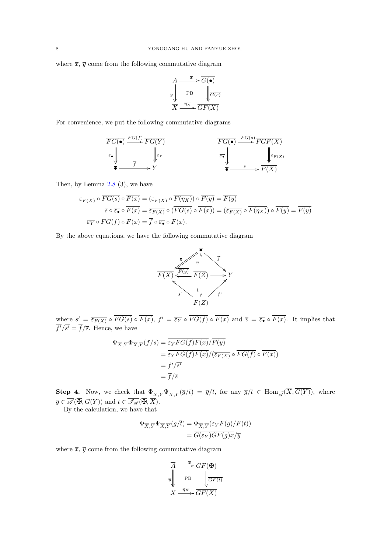where  $\bar{x}, \bar{y}$  come from the following commutative diagram

$$
\overline{A} \xrightarrow{\overline{x}} \overline{G(\bullet)}
$$
\n
$$
\overline{y} \parallel \overline{PB} \parallel \overline{G(s)}
$$
\n
$$
\overline{X} \xrightarrow{\overline{\eta_X}} \overline{GF(X)}
$$

For convenience, we put the following commutative diagrams

$$
\begin{array}{ccc}\n\overline{FG(\bullet)} & \xrightarrow{\overline{FG(f)}} \overline{FG(Y)} \\
\hline\n\overline{\bullet} & & \downarrow & \downarrow & \downarrow & \downarrow \\
\hline\n\overline{\bullet} & & & \downarrow & \downarrow & \downarrow & \downarrow \\
\hline\n\overline{\bullet} & & & & \downarrow & \downarrow & \downarrow & \downarrow \\
\hline\n\overline{\bullet} & & & & \downarrow & \downarrow & \downarrow & \downarrow \\
\hline\n\overline{\bullet} & & & & \downarrow & \downarrow & \downarrow & \downarrow \\
\hline\n\overline{\bullet} & & & & \downarrow & \downarrow & \downarrow & \downarrow \\
\hline\n\overline{\bullet} & & & & \downarrow & \downarrow & \downarrow & \downarrow \\
\hline\n\overline{\bullet} & & & & \downarrow & \downarrow & \downarrow & \downarrow \\
\hline\n\overline{\bullet} & & & & \downarrow & \downarrow & \downarrow & \downarrow \\
\hline\n\overline{\bullet} & & & & \downarrow & \downarrow & \downarrow & \downarrow \\
\hline\n\overline{\bullet} & & & & \downarrow & \downarrow & \downarrow & \downarrow \\
\hline\n\overline{\bullet} & & & & \downarrow & \downarrow & \downarrow & \downarrow \\
\hline\n\end{array}
$$

Then, by Lemma [2.8](#page-3-0) (3), we have

$$
\overline{\varepsilon_{F(X)}} \circ \overline{FG(s)} \circ \overline{F(x)} = (\overline{\varepsilon_{F(X)}} \circ \overline{F(\eta_X)}) \circ \overline{F(y)} = \overline{F(y)}
$$

$$
\overline{s} \circ \overline{\varepsilon_{\bullet}} \circ \overline{F(x)} = \overline{\varepsilon_{F(X)}} \circ (\overline{FG(s)} \circ \overline{F(x)}) = (\overline{\varepsilon_{F(X)}} \circ \overline{F(\eta_X)}) \circ \overline{F(y)} = \overline{F(y)}
$$

$$
\overline{\varepsilon_{Y}} \circ \overline{FG(f)} \circ \overline{F(x)} = \overline{f} \circ \overline{\varepsilon_{\bullet}} \circ \overline{F(x)}.
$$

By the above equations, we have the following commutative diagram



where  $\overline{s'} = \overline{\varepsilon_{F(X)}} \circ FG(s) \circ F(x)$ ,  $\overline{f'} = \overline{\varepsilon_Y} \circ FG(f) \circ F(x)$  and  $\overline{v} = \overline{\varepsilon_z} \circ F(x)$ . It implies that  $\overline{f'}/\overline{s'} = \overline{f}/\overline{s}$ . Hence, we have

$$
\Psi_{\overline{X},\overline{Y}}\Phi_{\overline{X},\overline{Y}}(\overline{f}/\overline{s}) = \frac{\overline{\varepsilon_Y FG(f)F(x)}/\overline{F(y)}}{\varepsilon_Y FG(f)F(x)/(\overline{\varepsilon_{F(X)}} \circ \overline{FG(f)} \circ \overline{F(x)})}
$$

$$
= \frac{\overline{f'}/\overline{s'}}{\overline{f}/\overline{s'}}
$$

$$
= \overline{f}/\overline{s}
$$

**Step 4.** Now, we check that  $\Phi_{\overline{X},\overline{Y}}\Psi_{\overline{X},\overline{Y}}(\overline{g}/\overline{t}) = \overline{g}/\overline{t}$ , for any  $\overline{g}/\overline{t} \in \text{Hom}_{\widetilde{\mathscr{A}}}(X,G(Y))$ , where  $\overline{g} \in \overline{\mathscr{A}}(\overline{\mathbf{\mathbb{F}}}, \overline{G(Y)})$  and  $\overline{t} \in \overline{\mathscr{I}_{\mathscr{A}}}(\overline{\mathbf{\mathbb{F}}}, \overline{X})$ .

By the calculation, we have that

$$
\Phi_{\overline{X},\overline{Y}}\Psi_{\overline{X},\overline{Y}}(\overline{g}/\overline{t}) = \Phi_{\overline{X},\overline{Y}}(\varepsilon_Y F(g)/F(t))
$$

$$
= \overline{G(\varepsilon_Y)GF(g)x}/\overline{y}
$$

where  $\bar{x}, \bar{y}$  come from the following commutative diagram

$$
\overline{A} \xrightarrow{\overline{x}} \overline{GF(\overline{M})}
$$
\n
$$
\overline{y} \parallel \overline{PB} \qquad \qquad \sqrt{\overline{GF(t)}}
$$
\n
$$
\overline{X} \xrightarrow{\overline{\eta_X}} \overline{GF(X)}
$$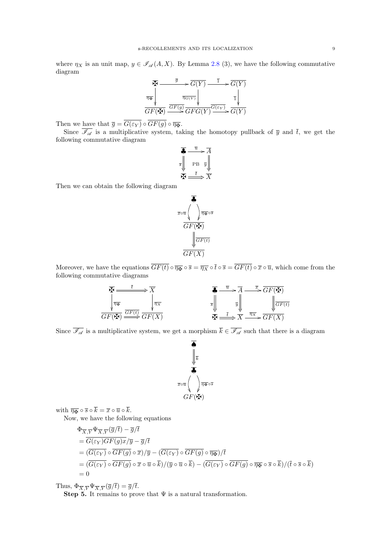where  $\eta_X$  is an unit map,  $y \in \mathcal{I}_{\mathcal{A}}(A, X)$ . By Lemma [2.8](#page-3-0) (3), we have the following commutative diagram

$$
\begin{array}{ccc}\n\overline{X} & \xrightarrow{\overline{g}} & \overline{G(Y)} & \xrightarrow{\overline{1}} & \overline{G(Y)} \\
\hline\n\overline{\eta}_{\overline{X}} & & \overline{\eta}_{G(Y)} & & \overline{1} \\
\hline\n\overline{GF(X)} & \xrightarrow{\overline{GF(g)}} & & \xrightarrow{\overline{GFG(Y)}} & & \xrightarrow{\overline{G(Y)}} & \\
\hline\n\overline{GF(X)} & \xrightarrow{\overline{GFG(Y)}} & & \xrightarrow{\overline{G(FY)}} & & \\
\end{array}
$$

Then we have that  $\overline{g} = \overline{G(\varepsilon_Y)} \circ \overline{GF(g)} \circ \overline{\eta_{\overline{R}}}$ .

Since  $\overline{\mathscr{I}_{\mathscr{A}}}$  is a multiplicative system, taking the homotopy pullback of  $\overline{y}$  and  $\overline{t}$ , we get the following commutative diagram



Then we can obtain the following diagram



Moreover, we have the equations  $\overline{GF(t)} \circ \overline{\eta_{\mathbf{F}}} \circ \overline{s} = \overline{\eta_X} \circ \overline{t} \circ \overline{s} = \overline{GF(t)} \circ \overline{x} \circ \overline{u}$ , which come from the following commutative diagrams



Since  $\overline{\mathscr{I}_{\mathscr{A}}}$  is a multiplicative system, we get a morphism  $\overline{k} \in \overline{\mathscr{I}_{\mathscr{A}}}$  such that there is a diagram



with  $\overline{\eta_{\mathbf{H}}} \circ \overline{s} \circ \overline{k} = \overline{x} \circ \overline{u} \circ \overline{k}$ .

Now, we have the following equations

$$
\Phi_{\overline{X},\overline{Y}}\Psi_{\overline{X},\overline{Y}}(\overline{g}/\overline{t}) - \overline{g}/\overline{t}
$$
\n
$$
= \overline{G(\varepsilon_Y)GF(g)x}/\overline{y} - \overline{g}/\overline{t}
$$
\n
$$
= (\overline{G(\varepsilon_Y)} \circ \overline{GF(g)} \circ \overline{x})/\overline{y} - (\overline{G(\varepsilon_Y)} \circ \overline{GF(g)} \circ \overline{\eta_{\overline{X}}})/\overline{t}
$$
\n
$$
= (\overline{G(\varepsilon_Y)} \circ \overline{GF(g)} \circ \overline{x} \circ \overline{u} \circ \overline{k})/(\overline{y} \circ \overline{u} \circ \overline{k}) - (\overline{G(\varepsilon_Y)} \circ \overline{GF(g)} \circ \overline{\eta_{\overline{X}}} \circ \overline{s} \circ \overline{k})/(\overline{t} \circ \overline{s} \circ \overline{k})
$$
\n
$$
= 0
$$

Thus,  $\Phi_{\overline{X},\overline{Y}}\Psi_{\overline{X},\overline{Y}}(\overline{g}/\overline{t})=\overline{g}/\overline{t}.$ 

Step 5. It remains to prove that  $\Psi$  is a natural transformation.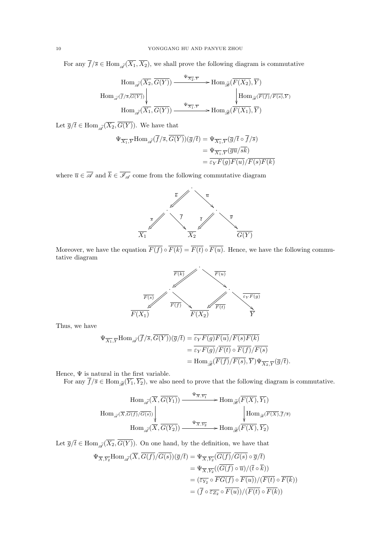For any  $\overline{f}/\overline{s} \in \text{Hom}_{\widetilde{\mathscr{A}}}(\overline{X_1}, \overline{X_2})$ , we shall prove the following diagram is commutative

$$
\begin{array}{c}\n\operatorname{Hom}_{\widetilde{\mathscr{A}}}(\overline{X_2},\overline{G(Y)}) \xrightarrow{\Psi_{\overline{X_2},\overline{Y}}} \operatorname{Hom}_{\widetilde{\mathscr{B}}}(\overline{F(X_2)},\overline{Y}) \\
\operatorname{Hom}_{\widetilde{\mathscr{A}}}(\overline{f}/\overline{s},\overline{G(Y)}) \Big| \qquad \qquad \qquad \qquad \downarrow \qquad \qquad \qquad \downarrow \qquad \qquad \qquad \downarrow \qquad \qquad \downarrow \qquad \qquad \downarrow \qquad \qquad \downarrow \qquad \qquad \downarrow \qquad \qquad \downarrow \qquad \qquad \downarrow \qquad \qquad \downarrow \qquad \qquad \downarrow \qquad \qquad \downarrow \qquad \qquad \downarrow \qquad \qquad \downarrow \qquad \downarrow \qquad \downarrow \qquad \downarrow \qquad \qquad \downarrow \qquad \downarrow \qquad \downarrow \qquad \downarrow \qquad \downarrow \qquad \downarrow \qquad \downarrow \qquad \downarrow \qquad \downarrow \qquad \downarrow \qquad \downarrow \qquad \downarrow \qquad \downarrow \qquad \downarrow \qquad \downarrow \qquad \downarrow \qquad \downarrow \qquad \downarrow \qquad \downarrow \qquad \downarrow \qquad \downarrow \qquad \downarrow \qquad \downarrow \qquad \downarrow \qquad \downarrow \qquad \downarrow \qquad \downarrow \qquad \downarrow \qquad \downarrow \qquad \downarrow \qquad \downarrow \qquad \downarrow \qquad \downarrow \qquad \downarrow \qquad \downarrow \qquad \downarrow \qquad \downarrow \qquad \downarrow \qquad \downarrow \qquad \downarrow \qquad \downarrow \qquad \downarrow \qquad \downarrow \qquad \downarrow \qquad \downarrow \qquad \downarrow \qquad \downarrow \qquad \downarrow \qquad \downarrow \qquad \downarrow \qquad \downarrow \qquad \downarrow \qquad \downarrow \qquad \downarrow \qquad \downarrow \qquad \downarrow \qquad \downarrow \qquad \downarrow \qquad \downarrow \qquad \downarrow \qquad \downarrow \qquad \downarrow \qquad \downarrow \qquad \downarrow \qquad \downarrow \qquad \downarrow \qquad \downarrow \qquad \downarrow \qquad \downarrow \qquad \downarrow \qquad \downarrow \qquad \downarrow \qquad \downarrow \qquad \downarrow \qquad \downarrow \qquad \downarrow \qquad \downarrow \qquad \downarrow \qquad \down
$$

Let  $\overline{g}/\overline{t} \in \text{Hom}_{\widetilde{\mathscr{A}}}(\overline{X_2}, \overline{G(Y)})$ . We have that

$$
\Psi_{\overline{X_1}, \overline{Y}} \text{Hom}_{\widetilde{\mathscr{A}}}(\overline{f}/\overline{s}, G(Y))(\overline{g}/\overline{t}) = \Psi_{\overline{X_1}, \overline{Y}}(\overline{g}/\overline{t} \circ \overline{f}/\overline{s})
$$
  
\n
$$
= \Psi_{\overline{X_1}, \overline{Y}}(\overline{g}\overline{u}/\overline{s}\overline{k})
$$
  
\n
$$
= \overline{\varepsilon_Y F(g)F(u)}/\overline{F(s)F(k)}
$$

where  $\overline{u} \in \overline{\mathscr{A}}$  and  $\overline{k} \in \overline{\mathscr{I}_{\mathscr{A}}}$  come from the following commutative diagram



Moreover, we have the equation  $\overline{F(f)} \circ \overline{F(k)} = \overline{F(t)} \circ \overline{F(u)}$ . Hence, we have the following commutative diagram



Thus, we have

$$
\Psi_{\overline{X_1}, \overline{Y}} \text{Hom}_{\widetilde{\mathscr{A}}}(\overline{f}/\overline{s}, \overline{G(Y)})(\overline{g}/\overline{t}) = \frac{\overline{\varepsilon_Y F(g)F(u)}/\overline{F(s)F(k)}}{\overline{\varepsilon_Y F(g)}/\overline{F(t)} \circ \overline{F(f)}/\overline{F(s)}} \n= \text{Hom}_{\widetilde{\mathscr{B}}}(\overline{F(f)}/\overline{F(s)}, \overline{Y}) \Psi_{\overline{X_2}, \overline{Y}}(\overline{g}/\overline{t}).
$$

Hence,  $\Psi$  is natural in the first variable.

For any  $\overline{f}/\overline{s} \in \text{Hom}_{\widetilde{\mathscr{B}}}(Y_1, Y_2)$ , we also need to prove that the following diagram is commutative.

$$
\begin{CD} \operatorname{Hom}_{\widetilde{\mathscr{A}}}(\overline{X},\overline{G(Y_1)}) @>\Psi_{\overline{X},\overline{Y_1}}>> \operatorname{Hom}_{\widetilde{\mathscr{B}}}(\overline{F(X)},\overline{Y_1})\\ \operatorname{Hom}_{\widetilde{\mathscr{A}}}(\overline{X},\overline{G(f)}/\overline{G(s)}) @VV{\overline{\Psi_{\overline{X},\overline{Y_2}}}}>> \operatorname{Hom}_{\widetilde{\mathscr{B}}}(\overline{F(X)},\overline{f/s})\\ \operatorname{Hom}_{\widetilde{\mathscr{A}}}(\overline{X},\overline{G(Y_2)}) @>\Psi_{\overline{X},\overline{Y_2}}>> \operatorname{Hom}_{\widetilde{\mathscr{B}}}(\overline{F(X)},\overline{Y_2}) \end{CD}
$$

Let  $\overline{g}/\overline{t} \in \text{Hom}_{\widetilde{\mathscr{A}}}(\overline{X_2}, \overline{G(Y)})$ . On one hand, by the definition, we have that

$$
\Psi_{\overline{X}, \overline{Y_2}} \text{Hom}_{\widetilde{\mathscr{A}}}(\overline{X}, \overline{G(f)}/\overline{G(s)}) (\overline{g}/\overline{t}) = \Psi_{\overline{X}, \overline{Y_2}}(\overline{G(f)}/\overline{G(s)} \circ \overline{g}/\overline{t})
$$
  
\n
$$
= \Psi_{\overline{X}, \overline{Y_2}}((\overline{G(f)} \circ \overline{u})/(\overline{t} \circ \overline{k}))
$$
  
\n
$$
= (\overline{\varepsilon_{Y_2}} \circ \overline{FG(f)} \circ \overline{F(u)})/(\overline{F(t)} \circ \overline{F(k)})
$$
  
\n
$$
= (\overline{f} \circ \overline{\varepsilon_{Z_2}} \circ \overline{F(u)})/(\overline{F(t)} \circ \overline{F(k)})
$$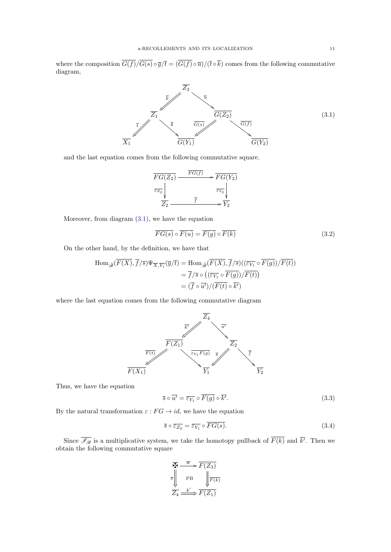where the composition  $\overline{G(f)}/\overline{G(s)} \circ \overline{q}/\overline{t} = (\overline{G(f)} \circ \overline{u})/(\overline{t} \circ \overline{k})$  comes from the following commutative diagram,



<span id="page-10-0"></span>and the last equation comes from the following commutative square.



Moreover, from diagram  $(3.1)$ , we have the equation

<span id="page-10-1"></span>
$$
\overline{FG(s)} \circ \overline{F(u)} = \overline{F(g)} \circ \overline{F(k)} \tag{3.2}
$$

On the other hand, by the definition, we have that

$$
\text{Hom}_{\widetilde{\mathscr{B}}}(\overline{F(X)}, \overline{f}/\overline{s})\Psi_{\overline{X}, \overline{Y_1}}(\overline{g}/\overline{t}) = \text{Hom}_{\widetilde{\mathscr{B}}}(\overline{F(X)}, \overline{f}/\overline{s})((\overline{\epsilon_{Y_1}} \circ \overline{F(g)})/\overline{F(t)})
$$

$$
= \overline{f}/\overline{s} \circ ((\overline{\epsilon_{Y_1}} \circ \overline{F(g)})/\overline{F(t)})
$$

$$
= (\overline{f} \circ \overline{u'})/(\overline{F(t)} \circ \overline{k'})
$$

where the last equation comes from the following commutative diagram



Thus, we have the equation

<span id="page-10-2"></span>
$$
\overline{s} \circ \overline{u'} = \overline{\varepsilon_{Y_1}} \circ \overline{F(g)} \circ \overline{k'}.
$$
\n(3.3)

By the natural transformation  $\varepsilon : FG \to id$ , we have the equation

<span id="page-10-3"></span>
$$
\overline{s} \circ \overline{\varepsilon_{Z_2}} = \overline{\varepsilon_{Y_1}} \circ FG(s). \tag{3.4}
$$

Since  $\overline{\mathscr{I}_{\mathscr{B}}}$  is a multiplicative system, we take the homotopy pullback of  $F(k)$  and  $\overline{k'}$ . Then we obtain the following commutative square

$$
\overline{F} \xrightarrow{\overline{w}} \overline{F(Z_3)}
$$
\n
$$
\overline{v} \xrightarrow{\overline{w}} \text{PB} \xrightarrow{\overline{F(Z_3)}}
$$
\n
$$
\overline{Z_4} \xrightarrow{\underline{k'}} \overline{F(Z_1)}
$$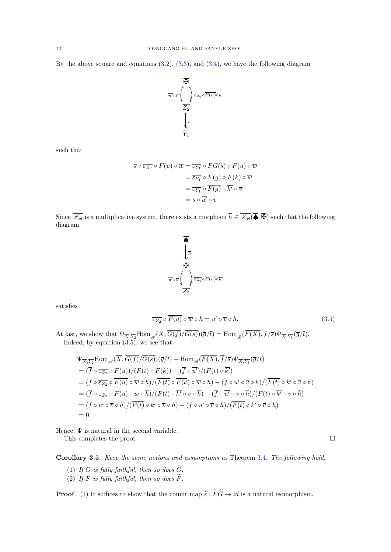By the above square and equations  $(3.2)$ ,  $(3.3)$ , and  $(3.4)$ , we have the following diagram



such that

$$
\overline{s} \circ \overline{\varepsilon_{Z_2}} \circ \overline{F(u)} \circ \overline{w} = \overline{\varepsilon_{Y_1}} \circ \overline{FG(s)} \circ \overline{F(u)} \circ \overline{w}
$$

$$
= \overline{\varepsilon_{Y_1}} \circ \overline{F(g)} \circ \overline{F(k)} \circ \overline{w}
$$

$$
= \overline{\varepsilon_{Y_1}} \circ \overline{F(g)} \circ \overline{k'} \circ \overline{v}
$$

$$
= \overline{s} \circ \overline{u'} \circ \overline{v}
$$

Since  $\overline{\mathscr{I}_{\mathscr{B}}}$  is a multiplicative system, there exists a morphism  $\overline{h} \in \overline{\mathscr{I}_{\mathscr{B}}}(\overline{\spadesuit}, \overline{\clubsuit})$  such that the following diagram



satisfies

<span id="page-11-0"></span>
$$
\overline{\varepsilon_{Z_2}} \circ \overline{F(u)} \circ \overline{w} \circ \overline{h} = \overline{u'} \circ \overline{v} \circ \overline{h}.
$$
 (3.5)

At last, we show that  $\Psi_{\overline{X},\overline{Y_2}}\text{Hom}_{\mathscr{A}}(X,G(f)/G(s))(\overline{g}/\overline{t}) = \text{Hom}_{\mathscr{B}}(F(X),f/\overline{s})\Psi_{\overline{X},\overline{Y_1}}(\overline{g}/\overline{t}).$ Indeed, by equation  $(3.5)$ , we see that

$$
\Psi_{\overline{X},\overline{Y_2}}\text{Hom}_{\widetilde{\mathscr{A}}}(\overline{X},\overline{G(f)}/\overline{G(s)})(\overline{g}/\overline{t}) - \text{Hom}_{\widetilde{\mathscr{B}}}(\overline{F(X)},\overline{f}/\overline{s})\Psi_{\overline{X},\overline{Y_1}}(\overline{g}/\overline{t})
$$
\n
$$
= (\overline{f} \circ \overline{\varepsilon_{Z_2}} \circ \overline{F(u)})/(\overline{F(t)} \circ \overline{F(k)}) - (\overline{f} \circ \overline{u'})/(\overline{F(t)} \circ \overline{k'})
$$
\n
$$
= (\overline{f} \circ \overline{\varepsilon_{Z_2}} \circ \overline{F(u)} \circ \overline{w} \circ \overline{h})/(\overline{F(t)} \circ \overline{F(k)} \circ \overline{w} \circ \overline{h}) - (\overline{f} \circ \overline{u'} \circ \overline{v} \circ \overline{h})/(\overline{F(t)} \circ \overline{k'} \circ \overline{v} \circ \overline{h})
$$
\n
$$
= (\overline{f} \circ \overline{\varepsilon_{Z_2}} \circ \overline{F(u)} \circ \overline{w} \circ \overline{h})/(\overline{F(t)} \circ \overline{k'} \circ \overline{v} \circ \overline{h}) - (\overline{f} \circ \overline{u'} \circ \overline{v} \circ \overline{h})/(\overline{F(t)} \circ \overline{k'} \circ \overline{v} \circ \overline{h})
$$
\n
$$
= (\overline{f} \circ \overline{u'} \circ \overline{v} \circ \overline{h})/(\overline{F(t)} \circ \overline{k'} \circ \overline{v} \circ \overline{h}) - (\overline{f} \circ \overline{u'} \circ \overline{v} \circ \overline{h})/(\overline{F(t)} \circ \overline{k'} \circ \overline{v} \circ \overline{h})
$$
\n
$$
= 0
$$

Hence,  $\Psi$  is natural in the second variable.

This completes the proof.  $\hfill \square$ 

<span id="page-11-1"></span>Corollary 3.5. Keep the same notions and assumptions as Theorem [3.4](#page-4-0). The following hold.

- (1) If G is fully faithful, then so does  $\widetilde{G}$ .
- (2) If F is fully faithful, then so does  $\widetilde{F}$ .

**Proof.** (1) It suffices to show that the counit map  $\tilde{\epsilon}$ :  $\tilde{F}\tilde{G} \rightarrow id$  is a natural isomorphism.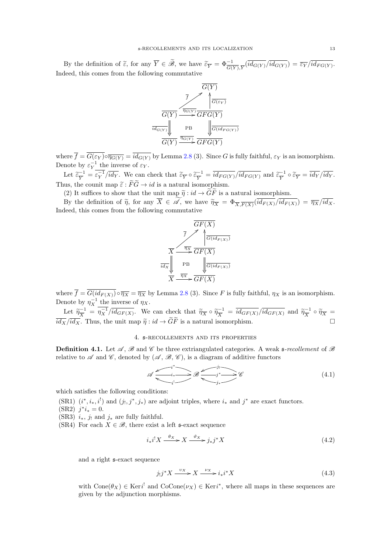By the definition of  $\tilde{\varepsilon}$ , for any  $\overline{Y} \in \tilde{\mathscr{B}}$ , we have  $\tilde{\varepsilon}_{\overline{Y}} = \Phi \frac{-1}{G(Y), \overline{Y}} (\overline{id}_{G(Y)}) / \overline{id}_{G(Y)}) = \overline{\varepsilon}_{\overline{Y}} / \overline{id}_{FG(Y)}$ . Indeed, this comes from the following commutative



where  $\overline{f} = \overline{G(\varepsilon_Y)} \circ \overline{\eta_{G(Y)}} = \overline{id_{G(Y)}}$  by Lemma [2.8](#page-3-0) (3). Since G is fully faithful,  $\varepsilon_Y$  is an isomorphism. Denote by  $\varepsilon_Y^{-1}$  the inverse of  $\varepsilon_Y$ .

Let  $\widetilde{\varepsilon}_{\overline{Y}}^{-1}$  $\overline{\epsilon}_{\overline{Y}}^{-1} = \varepsilon_{Y}^{-1}/\overline{id_{Y}}$ . We can check that  $\widetilde{\epsilon}_{\overline{Y}} \circ \widetilde{\epsilon}_{\overline{Y}}^{-1}$  $\frac{\widetilde{C}^{-1}}{Y} = \overline{id_{FG(Y)}} / \overline{id_{FG(Y)}}$  and  $\widetilde{\varepsilon}_{\overline{Y}}^{-1}$  $\frac{\tilde{\epsilon}-1}{Y} \circ \tilde{\epsilon}_{\overline{Y}} = id_Y/ id_Y.$ Thus, the counit map  $\widetilde{\varepsilon}: \widetilde{F}\widetilde{G} \to id$  is a natural isomorphism.

(2) It suffices to show that the unit map  $\tilde{\eta}: id \to \tilde{G}\tilde{F}$  is a natural isomorphism.

By the definition of  $\tilde{\eta}$ , for any  $X \in \mathscr{A}$ , we have  $\tilde{\eta}_{\overline{X}} = \Phi_{\overline{X}, \overline{F(X)}}(id_{F(X)}/id_{F(X)}) = \overline{\eta_{X}}/id_{X}$ . Indeed, this comes from the following commutative



where  $\overline{f} = \overline{G(id_{F(X)})} \circ \overline{\eta_X} = \overline{\eta_X}$  by Lemma [2.8](#page-3-0) (3). Since F is fully faithful,  $\eta_X$  is an isomorphism. Denote by  $\eta_X^{-1}$  the inverse of  $\eta_X$ .

Let  $\widetilde{\eta}_{\overline{X}}^{-1}$  $\frac{(-1)}{X} = \eta_X^{-1} / id_{GF(X)}$ . We can check that  $\widetilde{\eta}_X \circ \widetilde{\eta}_X^{-1}$  $\tilde{u}_{\overline{X}}^{-1} = \overline{id_{GF(X)}} / \overline{id_{GF(X)}}$  and  $\tilde{\eta}_{\overline{X}}^{-1}$  $\frac{\widetilde{X}^{-1}}{X} \circ \widetilde{\eta}_{\overline{X}} =$  $\overline{id_X}/\overline{id_X}$ . Thus, the unit map  $\widetilde{\eta}: id \to \widetilde{G}F$  is a natural isomorphism.

# 4. s-recollements and its properties

**Definition 4.1.** Let  $\mathscr A$ ,  $\mathscr B$  and  $\mathscr C$  be three extriangulated categories. A weak  $\mathfrak s$ -recollement of  $\mathscr B$ relative to  $\mathscr A$  and  $\mathscr C$ , denoted by  $(\mathscr A, \mathscr B, \mathscr C)$ , is a diagram of additive functors

$$
\mathscr{A} \xrightarrow{\phantom{a}i_* \phantom{a}} i_* \longrightarrow \mathscr{B} \xrightarrow{\phantom{a}j^* \phantom{a}} i_* \longrightarrow \mathscr{C} \tag{4.1}
$$

which satisfies the following conditions:

- (SR1)  $(i^*, i_*, i^!)$  and  $(j_!, j^*, j_*)$  are adjoint triples, where  $i_*$  and  $j^*$  are exact functors.
- $(SR2) j^*i_* = 0.$
- (SR3)  $i_*$ ,  $j_!$  and  $j_*$  are fully faithful.
- (SR4) For each  $X \in \mathcal{B}$ , there exist a left s-exact sequence

<span id="page-12-0"></span>
$$
i_*i^!X \xrightarrow{\theta_X} X \xrightarrow{\vartheta_X} j_*j^*X
$$
\n(4.2)

and a right s-exact sequence

<span id="page-12-1"></span>
$$
j_!j^*X \xrightarrow{v_X} X \xrightarrow{v_X} i_*i^*X \tag{4.3}
$$

with  $Cone(\theta_X) \in \text{Ker} i^!$  and  $Cocone(\nu_X) \in \text{Ker} i^*$ , where all maps in these sequences are given by the adjunction morphisms.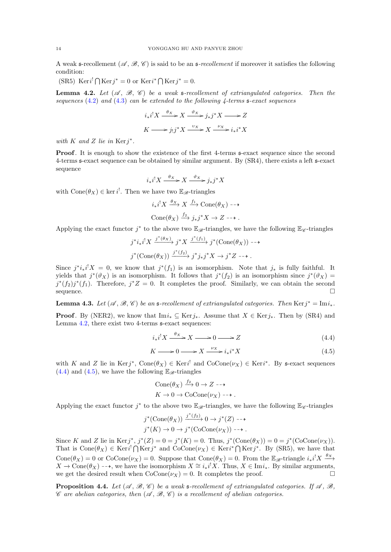A weak s-recollement  $(\mathscr{A}, \mathscr{B}, \mathscr{C})$  is said to be an s-recollement if moreover it satisfies the following condition:

 $(SR5) \ \text{Ker} \, i^! \bigcap \text{Ker} \, j^* = 0 \text{ or } \text{Ker} \, i^* \bigcap \text{Ker} \, j^* = 0.$ 

<span id="page-13-0"></span>**Lemma 4.2.** Let  $(\mathcal{A}, \mathcal{B}, \mathcal{C})$  be a weak s-recollement of extriangulated categories. Then the sequences  $(4.2)$  and  $(4.3)$  can be extended to the following 4-terms  $\mathfrak{s}\text{-}exact$  sequences

$$
i_*i^!X \xrightarrow{\theta_X} X \xrightarrow{\vartheta_X} j_*j^*X \longrightarrow Z
$$
  

$$
K \longrightarrow j_!j^*X \xrightarrow{\upsilon_X} X \xrightarrow{\upsilon_X} i_*i^*X
$$

with  $K$  and  $Z$  lie in  $Kerj^*$ .

**Proof.** It is enough to show the existence of the first 4-terms  $\mathfrak{s}$ -exact sequence since the second 4-terms s-exact sequence can be obtained by similar argument. By (SR4), there exists a left s-exact sequence

$$
i_*i^!X \xrightarrow{\theta_X} X \xrightarrow{\vartheta_X} j_*j^*X
$$

with  $Cone(\theta_X) \in \ker i^!$ . Then we have two  $\mathbb{E}_{\mathscr{B}}$ -triangles

$$
i_*i^!X \xrightarrow{\theta_X} X \xrightarrow{f_1} \text{Cone}(\theta_X) \longrightarrow
$$
  
\n
$$
\text{Cone}(\theta_X) \xrightarrow{f_2} j_*j^*X \to Z \longrightarrow.
$$

Applying the exact functor  $j^*$  to the above two  $\mathbb{E}_{\mathscr{B}}$ -triangles, we have the following  $\mathbb{E}_{\mathscr{C}}$ -triangles

$$
j^*i_*i^!X \xrightarrow{j^*(\theta_X)} j^*X \xrightarrow{j^*(f_1)} j^*(\text{Cone}(\theta_X)) \longrightarrow
$$
  

$$
j^*(\text{Cone}(\theta_X)) \xrightarrow{j^*(f_2)} j^*j_*j^*X \longrightarrow j^*Z \longrightarrow.
$$

Since  $j^*i_*i^!X = 0$ , we know that  $j^*(f_1)$  is an isomorphism. Note that  $j_*$  is fully faithful. It yields that  $j^*(\vartheta_X)$  is an isomorphism. It follows that  $j^*(f_2)$  is an isomorphism since  $j^*(\vartheta_X)$  =  $j^{*}(f_{2})j^{*}(f_{1})$ . Therefore,  $j^{*}Z = 0$ . It completes the proof. Similarly, we can obtain the second sequence.

<span id="page-13-3"></span>**Lemma 4.3.** Let  $(\mathcal{A}, \mathcal{B}, \mathcal{C})$  be an s-recollement of extriangulated categories. Then  $\text{Ker}(j^* = \text{Im} i_*)$ .

**Proof.** By (NER2), we know that Im $i_* \subseteq \text{Ker } j_*$ . Assume that  $X \in \text{Ker } j_*$ . Then by (SR4) and Lemma [4.2,](#page-13-0) there exist two 4-terms  $\epsilon$ -exact sequences:

<span id="page-13-2"></span><span id="page-13-1"></span>
$$
i_*i^!X \xrightarrow{\theta_X} X \longrightarrow 0 \longrightarrow Z \tag{4.4}
$$

$$
K \longrightarrow 0 \longrightarrow X \xrightarrow{\nu_X} i_* i^* X \tag{4.5}
$$

with K and Z lie in  $\text{Ker }j^*$ ,  $\text{Cone}(\theta_X) \in \text{Ker }i^!$  and  $\text{CoCone}(\nu_X) \in \text{Ker }i^*$ . By s-exact sequences  $(4.4)$  and  $(4.5)$ , we have the following  $\mathbb{E}_{\mathscr{B}}$ -triangles

$$
\text{Cone}(\theta_X) \xrightarrow{f_2} 0 \to Z \dashrightarrow
$$
  

$$
K \to 0 \to \text{CoCone}(\nu_X) \dashrightarrow.
$$

Applying the exact functor  $j^*$  to the above two  $\mathbb{E}_{\mathscr{B}}$ -triangles, we have the following  $\mathbb{E}_{\mathscr{C}}$ -triangles

$$
j^*(\text{Cone}(\theta_X)) \xrightarrow{j^*(f_2)} 0 \to j^*(Z) \dashrightarrow
$$
  

$$
j^*(K) \to 0 \to j^*(\text{CoCone}(\nu_X)) \dashrightarrow.
$$

Since K and Z lie in Ker $j^*$ ,  $j^*(Z) = 0 = j^*(K) = 0$ . Thus,  $j^*(\text{Cone}(\theta_X)) = 0 = j^*(\text{CoCone}(\nu_X))$ . That is  $Cone(\theta_X) \in \text{Ker} i^! \bigcap \text{Ker} j^*$  and  $Cocone(\nu_X) \in \text{Ker} i^* \bigcap \text{Ker} j^*$ . By (SR5), we have that  $Cone(\theta_X) = 0$  or  $Cocone(\nu_X) = 0$ . Suppose that  $Cone(\theta_X) = 0$ . From the  $\mathbb{E}_{\mathscr{B}}$ -triangle  $i_*i^!X \xrightarrow{\theta_X}$  $X \to \text{Cone}(\theta_X) \dashrightarrow$ , we have the isomorphism  $X \cong i_*i^!X$ . Thus,  $X \in \text{Im}i_*$ . By similar arguments, we get the desired result when  $\text{CoCone}(\nu_X) = 0$ . It completes the proof.

<span id="page-13-4"></span>**Proposition 4.4.** Let  $(\mathcal{A}, \mathcal{B}, \mathcal{C})$  be a weak s-recollement of extriangulated categories. If  $\mathcal{A}, \mathcal{B},$  $\mathscr C$  are abelian categories, then  $(\mathscr A, \mathscr B, \mathscr C)$  is a recollement of abelian categories.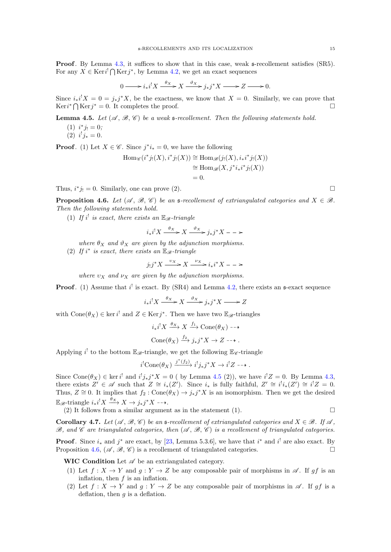**Proof.** By Lemma [4.3,](#page-13-3) it suffices to show that in this case, weak  $\epsilon$ -recollement satisfies (SR5). For any  $X \in \text{Ker} i^! \bigcap \text{Ker} j^*$ , by Lemma [4.2,](#page-13-0) we get an exact sequences

$$
0 \longrightarrow i_*i^!X \xrightarrow{\theta_X} X \xrightarrow{\vartheta_X} j_*j^*X \longrightarrow Z \longrightarrow 0.
$$

Since  $i_*i^!X = 0 = j_*j^*X$ , be the exactness, we know that  $X = 0$ . Similarly, we can prove that  $Ker i^* \bigcap Ker j^* = 0$ . It completes the proof.

<span id="page-14-0"></span>**Lemma 4.5.** Let  $(\mathcal{A}, \mathcal{B}, \mathcal{C})$  be a weak s-recollement. Then the following statements hold.

- (1)  $i^*j_! = 0;$
- (2)  $i^!j_*=0.$

**Proof.** (1) Let  $X \in \mathscr{C}$ . Since  $j^*i_* = 0$ , we have the following

$$
\begin{aligned} \text{Hom}_{\mathscr{C}}(i^*j_!(X), i^*j_!(X)) &\cong \text{Hom}_{\mathscr{B}}(j_!(X), i_*i^*j_!(X)) \\ &\cong \text{Hom}_{\mathscr{B}}(X, j^*i_*i^*j_!(X)) \\ &= 0. \end{aligned}
$$

Thus,  $i^*j_! = 0$ . Similarly, one can prove (2).

<span id="page-14-1"></span>**Proposition 4.6.** Let  $(\mathscr{A}, \mathscr{B}, \mathscr{C})$  be an s-recollement of extriangulated categories and  $X \in \mathscr{B}$ . Then the following statements hold.

(1) If  $i^!$  is exact, there exists an  $\mathbb{E}_{\mathscr{B}}$ -triangle

$$
i_*i^!X \xrightarrow{\theta_X} X \xrightarrow{\vartheta_X} j_*j^*X --\n>
$$

where  $\theta_X$  and  $\vartheta_X$  are given by the adjunction morphisms.

(2) If  $i^*$  is exact, there exists an  $\mathbb{E}_{\mathscr{B}}$ -triangle

$$
j_!j^*X \xrightarrow{v_X} X \xrightarrow{v_X} i_*i^*X --\n>
$$

where  $v_x$  and  $v_x$  are given by the adjunction morphisms.

**Proof.** (1) Assume that  $i^!$  is exact. By (SR4) and Lemma [4.2,](#page-13-0) there exists an  $\mathfrak{s}$ -exact sequence

 $i_*i^!X \xrightarrow{\theta_X} X \xrightarrow{\vartheta_X} j_*j^*X \longrightarrow Z$ 

with  $Cone(\theta_X) \in \text{ker } i^!$  and  $Z \in \text{Ker } j^*$ . Then we have two  $\mathbb{E}_{\mathscr{B}}$ -triangles

$$
i_*i^!X \xrightarrow{\theta_X} X \xrightarrow{f_1} \text{Cone}(\theta_X) \longrightarrow
$$
  
\n
$$
\text{Cone}(\theta_X) \xrightarrow{f_2} j_*j^*X \to Z \longrightarrow.
$$

Applying  $i^!$  to the bottom  $\mathbb{E}_{\mathscr{B}}$ -triangle, we get the following  $\mathbb{E}_{\mathscr{C}}$ -triangle

$$
i^!
$$
Cone $(\theta_X)$   $\xrightarrow{j^*(f_2)} i^! j_* j^* X \to i^! Z \dashrightarrow$ .

Since Cone $(\theta_X) \in \text{ker } i^!$  and  $i^! j_* j^* X = 0$  (by Lemma [4.5](#page-14-0) (2)), we have  $i^! Z = 0$ . By Lemma [4.3,](#page-13-3) there exists  $Z' \in \mathscr{A}$  such that  $Z \cong i_*(Z')$ . Since  $i_*$  is fully faithful,  $Z' \cong i^!i_*(Z') \cong i^!Z = 0$ . Thus,  $Z \cong 0$ . It implies that  $f_2: Cone(\hat{\theta}_X) \to j_*j^*X$  is an isomorphism. Then we get the desired  $\mathbb{E}_{\mathscr{B}}\text{-triangle }i_*i^!X \xrightarrow{\theta_X} X \to j_*j^*X \dashrightarrow$ .

(2) It follows from a similar argument as in the statement (1).  $\Box$ 

<span id="page-14-2"></span>**Corollary 4.7.** Let  $(\mathcal{A}, \mathcal{B}, \mathcal{C})$  be an s-recollement of extriangulated categories and  $X \in \mathcal{B}$ . If  $\mathcal{A}$ ,  $\mathscr{B}$ , and  $\mathscr{C}$  are triangulated categories, then  $(\mathscr{A}, \mathscr{B}, \mathscr{C})$  is a recollement of triangulated categories.

**Proof.** Since  $i_*$  and  $j^*$  are exact, by [\[23,](#page-23-28) Lemma 5.3.6], we have that  $i^*$  and  $i^!$  are also exact. By Proposition [4.6,](#page-14-1)  $(\mathscr{A}, \mathscr{B}, \mathscr{C})$  is a recollement of triangulated categories.

WIC Condition Let  $\mathscr A$  be an extriangulated category.

- (1) Let  $f: X \to Y$  and  $g: Y \to Z$  be any composable pair of morphisms in  $\mathscr{A}$ . If gf is an inflation, then  $f$  is an inflation.
- (2) Let  $f: X \to Y$  and  $g: Y \to Z$  be any composable pair of morphisms in  $\mathscr{A}$ . If gf is a deflation, then  $q$  is a deflation.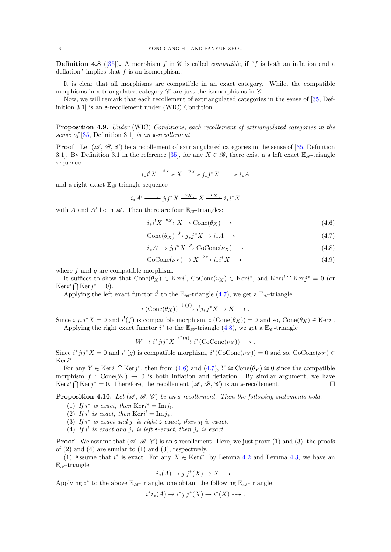**Definition 4.8** ([\[35\]](#page-23-4)). A morphism f in  $\mathscr C$  is called *compatible*, if "f is both an inflation and a deflation" implies that  $f$  is an isomorphism.

It is clear that all morphisms are compatible in an exact category. While, the compatible morphisms in a triangulated category  $\mathscr C$  are just the isomorphisms in  $\mathscr C$ .

Now, we will remark that each recollement of extriangulated categories in the sense of [\[35,](#page-23-4) Definition 3.1 is an  $\mathfrak s$ -recollement under (WIC) Condition.

Proposition 4.9. Under (WIC) Conditions, each recollement of extriangulated categories in the sense of  $[35,$  Definition 3.1] is an  $\mathfrak{s}\text{-}$  recollement.

**Proof.** Let  $(\mathcal{A}, \mathcal{B}, \mathcal{C})$  be a recollement of extriangulated categories in the sense of [\[35,](#page-23-4) Definition 3.1]. By Definition 3.1 in the reference [\[35\]](#page-23-4), for any  $X \in \mathscr{B}$ , there exist a a left exact  $\mathbb{E}_{\mathscr{B}}$ -triangle sequence

$$
i_*i^!X \xrightarrow{\theta_X} X \xrightarrow{\vartheta_X} j_*j^*X \longrightarrow i_*A
$$

and a right exact  $\mathbb{E}_{\mathscr{B}}$ -triangle sequence

$$
i_*A' \longrightarrow j_!j^*X \xrightarrow{v_X} X \xrightarrow{v_X} i_*i^*X
$$

with A and A' lie in  $\mathscr A$ . Then there are four  $\mathbb{E}_{\mathscr B}$ -triangles:

$$
i_*i^!X \xrightarrow{\theta_X} X \to \text{Cone}(\theta_X) \dashrightarrow \tag{4.6}
$$

<span id="page-15-2"></span><span id="page-15-1"></span><span id="page-15-0"></span>
$$
Cone(\theta_X) \xrightarrow{f} j_*j^*X \to i_*A \dashrightarrow \tag{4.7}
$$

$$
i_*A' \to j_!j^*X \xrightarrow{g} \text{CoCone}(\nu_X) \dashrightarrow \tag{4.8}
$$

$$
CoCone(\nu_X) \to X \xrightarrow{\nu_X} i_*i^*X \dashrightarrow \tag{4.9}
$$

where  $f$  and  $g$  are compatible morphism.

It suffices to show that  $Cone(\theta_X) \in \text{Ker} i^!, CoCone(\nu_X) \in \text{Ker} i^*,$  and  $\text{Ker} i^! \bigcap \text{Ker} j^* = 0$  (or  $Ker i^* \bigcap Ker j^* = 0$ .

Applying the left exact functor  $i^!$  to the  $\mathbb{E}_{\mathscr{B}}$ -triangle [\(4.7\)](#page-15-0), we get a  $\mathbb{E}_{\mathscr{C}}$ -triangle

$$
i^!(\text{Cone}(\theta_X)) \xrightarrow{i^!(f)} i^!j_*j^*X \to K \dashrightarrow.
$$

Since  $i^!j_*j^*X = 0$  and  $i^!(f)$  is compatible morphism,  $i^!(\text{Cone}(\theta_X)) = 0$  and so,  $\text{Cone}(\theta_X) \in \text{Keri}^!$ . Applying the right exact functor  $i^*$  to the  $\mathbb{E}_{\mathscr{B}}$ -triangle  $(4.8)$ , we get a  $\mathbb{E}_{\mathscr{C}}$ -triangle

$$
W \to i^* j_! j^* X \xrightarrow{i^*(g)} i^* (\text{CoCone}(\nu_X)) \dashrightarrow.
$$

Since  $i^*j_!j^*X = 0$  and  $i^*(g)$  is compatible morphism,  $i^*(\text{CoCone}(\nu_X)) = 0$  and so,  $\text{CoCone}(\nu_X) \in$ Keri ∗ .

For any  $Y \in \text{Ker } i^! \bigcap \text{Ker } j^*$ , then from [\(4.6\)](#page-15-2) and [\(4.7\)](#page-15-0),  $Y \cong \text{Cone}(\theta_Y) \cong 0$  since the compatible morphism  $f : Cone(\theta_Y) \rightarrow 0$  is both inflation and deflation. By similar argument, we have Ker $i^*$  ∩ Ker $j^* = 0$ . Therefore, the recollement  $(\mathscr{A}, \mathscr{B}, \mathscr{C})$  is an s-recollement.

<span id="page-15-3"></span>**Proposition 4.10.** Let  $(\mathcal{A}, \mathcal{B}, \mathcal{C})$  be an s-recollement. Then the following statements hold.

- (1) If  $i^*$  is exact, then  $\text{Ker } i^* = \text{Im } j_!$ .
- (2) If i<sup>!</sup> is exact, then  $\text{Ker } i' = \text{Im } j_*$ .
- (3) If  $i^*$  is exact and  $j_!$  is right  $\epsilon$ -exact, then  $j_!$  is exact.
- (4) If  $i^!$  is exact and  $j_*$  is left s-exact, then  $j_*$  is exact.

**Proof.** We assume that  $(\mathcal{A}, \mathcal{B}, \mathcal{C})$  is an s-recollement. Here, we just prove (1) and (3), the proofs of  $(2)$  and  $(4)$  are similar to  $(1)$  and  $(3)$ , respectively.

(1) Assume that  $i^*$  is exact. For any  $X \in \text{Ker} i^*$ , by Lemma [4.2](#page-13-0) and Lemma [4.3,](#page-13-3) we have an  $E_{\mathscr{B}}$ -triangle

$$
i_*(A) \to j_!j^*(X) \to X \dashrightarrow .
$$

Applying  $i^*$  to the above  $\mathbb{E}_{\mathscr{B}}$ -triangle, one obtain the following  $\mathbb{E}_{\mathscr{A}}$ -triangle

$$
i^*i_*(A) \to i^*j_!j^*(X) \to i^*(X) \dashrightarrow.
$$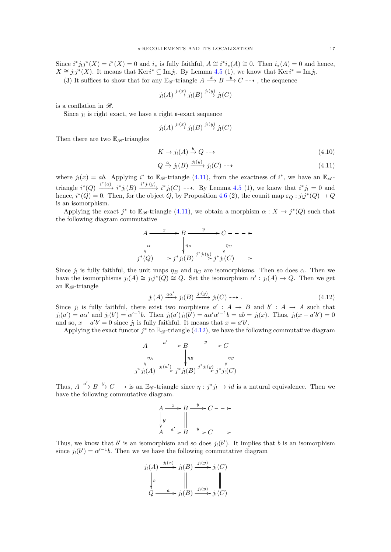Since  $i^*j_!j^*(X) = i^*(X) = 0$  and  $i_*$  is fully faithful,  $A \cong i^*i_*(A) \cong 0$ . Then  $i_*(A) = 0$  and hence,  $X \cong j_!j^*(X)$ . It means that Keri<sup>\*</sup>  $\subseteq \text{Im } j_!$ . By Lemma [4.5](#page-14-0) (1), we know that Keri<sup>\*</sup> = Imj<sub>!</sub>.

(3) It suffices to show that for any  $\mathbb{E}_{\mathscr{C}}$ -triangle  $A \xrightarrow{x} B \xrightarrow{y} C \dashrightarrow$ , the sequence

$$
j_!(A) \xrightarrow{j_!(x)} j_!(B) \xrightarrow{j_!(y)} j_!(C)
$$

is a conflation in  $\mathscr{B}.$ 

Since  $j_!$  is right exact, we have a right  $\epsilon$ -exact sequence

$$
j_!(A) \xrightarrow{j_!(x)} j_!(B) \xrightarrow{j_!(y)} j_!(C)
$$

Then there are two  $\mathbb{E}_{\mathscr{B}}$ -triangles

$$
K \to j_!(A) \xrightarrow{b} Q \dashrightarrow \tag{4.10}
$$

<span id="page-16-0"></span>
$$
Q \xrightarrow{a} j_!(B) \xrightarrow{j_!(y)} j_!(C) \dashrightarrow \tag{4.11}
$$

where  $j_!(x) = ab$ . Applying  $i^*$  to  $\mathbb{E}_{\mathscr{B}}$ -triangle [\(4.11\)](#page-16-0), from the exactness of  $i^*$ , we have an  $\mathbb{E}_{\mathscr{A}}$ triangle  $i^*(Q) \xrightarrow{i^*(a)} i^*j_!(B) \xrightarrow{i^*j_!(y)} i^*j_!(C) \dashrightarrow$ . By Lemma [4.5](#page-14-0) (1), we know that  $i^*j_!=0$  and hence,  $i^*(Q) = 0$ . Then, for the object Q, by Proposition [4.6](#page-14-1) (2), the counit map  $\varepsilon_Q : j_!j^*(Q) \to Q$ is an isomorphism.

Applying the exact  $j^*$  to  $\mathbb{E}_{\mathscr{B}}$ -triangle [\(4.11\)](#page-16-0), we obtain a morphism  $\alpha: X \to j^*(Q)$  such that the following diagram commutative

$$
A \xrightarrow{\quad x \quad} B \xrightarrow{\quad y \quad} C \qquad - \qquad \rightarrow
$$
  
\n
$$
\downarrow^{\alpha} \qquad \qquad \downarrow^{\eta} B \qquad \qquad \downarrow^{\eta} C
$$
  
\n
$$
j^*(Q) \longrightarrow j^*j_!(B) \xrightarrow{j^*j_!(y)} j^*j_!(C) \qquad \rightarrow
$$

Since  $j_!$  is fully faithful, the unit maps  $\eta_B$  and  $\eta_C$  are isomorphisms. Then so does  $\alpha$ . Then we have the isomorphisms  $j_!(A) \cong j_!j^*(Q) \cong Q$ . Set the isomorphism  $\alpha' : j_!(A) \to Q$ . Then we get an  $\mathbb{E}_{\mathscr{B}}$ -triangle

<span id="page-16-1"></span>
$$
j_!(A) \xrightarrow{a\alpha'} j_!(B) \xrightarrow{j_!(y)} j_!(C) \dashrightarrow . \tag{4.12}
$$

Since  $j_!$  is fully faithful, there exist two morphisms  $a': A \rightarrow B$  and  $b': A \rightarrow A$  such that  $j_1(a') = a\alpha'$  and  $j_1(b') = \alpha'^{-1}b$ . Then  $j_1(a')j_1(b') = a\alpha'\alpha'^{-1}b = ab = j_1(x)$ . Thus,  $j_1(x - a'b') = 0$ and so,  $x - a'b' = 0$  since  $j_!$  is fully faithful. It means that  $x = a'b'$ .

Applying the exact functor  $j^*$  to  $\mathbb{E}_{\mathscr{B}}$ -triangle [\(4.12\)](#page-16-1), we have the following commutative diagram

$$
A \xrightarrow{a'} B \xrightarrow{y} C
$$
  
\n
$$
\sqrt[n]{n_A} \qquad \sqrt[n]{n_B} \qquad \sqrt[n]{n_C}
$$
  
\n
$$
j^* j_!(A) \xrightarrow{j_!(a')} j^* j_!(B) \xrightarrow{j^* j_!(y)} j^* j_!(C)
$$

Thus,  $A \xrightarrow{a'} B \xrightarrow{y} C \longrightarrow$  is an  $\mathbb{E}_{\mathscr{C}}$ -triangle since  $\eta : j^*j_! \longrightarrow id$  is a natural equivalence. Then we have the following commutative diagram.

$$
A \xrightarrow{x} B \xrightarrow{y} C -- \rightarrow
$$
  
\n
$$
\downarrow b'
$$
  
\n
$$
A \xrightarrow{a'} B \xrightarrow{y} C -- \rightarrow
$$

Thus, we know that  $b'$  is an isomorphism and so does  $j_!(b')$ . It implies that b is an isomorphism since  $j_!(b') = \alpha'^{-1}b$ . Then we we have the following commutative diagram

$$
j_!(A) \xrightarrow{j_!(x)} j_!(B) \xrightarrow{j_!(y)} j_!(C)
$$
  
\n
$$
\downarrow b \qquad \qquad \parallel \qquad \qquad j_!(B) \xrightarrow{j_!(y)} j_!(C)
$$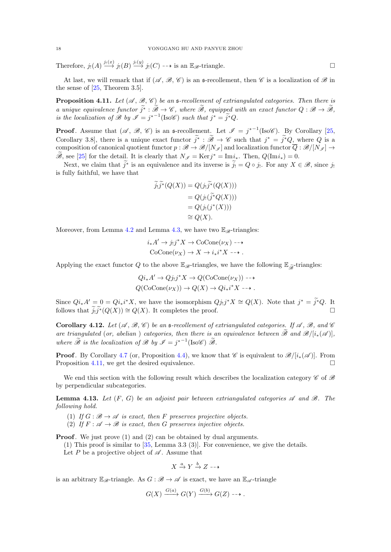Therefore,  $j_!(A) \stackrel{j_!(x)}{\longrightarrow} j_!(B) \stackrel{j_!(y)}{\longrightarrow} j_!(C) \longrightarrow$  is an  $\mathbb{E}_{\mathscr{B}}$ -triangle.

At last, we will remark that if  $(\mathscr{A}, \mathscr{B}, \mathscr{C})$  is an s-recollement, then  $\mathscr{C}$  is a localization of  $\mathscr{B}$  in the sense of [\[25,](#page-23-33) Theorem 3.5].

<span id="page-17-0"></span>**Proposition 4.11.** Let  $(\mathcal{A}, \mathcal{B}, \mathcal{C})$  be an s-recollement of extriangulated categories. Then there is a unique equivalence functor  $\widetilde{j}^* : \widetilde{\mathscr{B}} \to \mathscr{C}$ , where  $\widetilde{\mathscr{B}}$ , equipped with an exact functor  $Q : \mathscr{B} \to \widetilde{\mathscr{B}}$ , is the localization of  $\mathscr{B}$  by  $\mathscr{I} = j^{*-1}(\text{Iso}\mathscr{C})$  such that  $j^* = \tilde{j}^*Q$ .

**Proof.** Assume that  $(\mathscr{A}, \mathscr{B}, \mathscr{C})$  is an s-recollement. Let  $\mathscr{I} = j^{*-1}$  (Iso $\mathscr{C}$ ). By Corollary [\[25,](#page-23-33) Corollary 3.8], there is a unique exact functor  $j^* : \mathscr{B} \to \mathscr{C}$  such that  $j^* = j^*Q$ , where Q is a composition of canonical quotient functor  $p : \mathscr{B} \to \mathscr{B}/[N_{\mathscr{I}}]$  and localization functor  $\overline{Q} : \mathscr{B}/[N_{\mathscr{I}}] \to$  $\widetilde{\mathscr{B}}$ , see [\[25\]](#page-23-33) for the detail. It is clearly that  $N_{\mathscr{I}} = \text{Ker} j^* = \text{Im} i_*$ . Then,  $Q(\text{Im} i_*) = 0$ .

Next, we claim that  $j^*$  is an equivalence and its inverse is  $j_! = Q \circ j_!$ . For any  $X \in \mathscr{B}$ , since  $j_!$ is fully faithful, we have that

$$
j_!j^*(Q(X)) = Q(j_!j^*(Q(X)))
$$
  
=  $Q(j_!({\widetilde{j}}^*Q(X)))$   
=  $Q(j_!({j}^*(X)))$   
 $\cong Q(X).$ 

Moreover, from Lemma [4.2](#page-13-0) and Lemma [4.3,](#page-13-3) we have two  $\mathbb{E}_{\mathscr{B}}$ -triangles:

$$
i_*A' \to j_!j^*X \to \text{CoCone}(\nu_X) \dashrightarrow
$$
  
CoCone $(\nu_X) \to X \to i_*i^*X \dashrightarrow$ .

Applying the exact functor Q to the above  $\mathbb{E}_{\mathscr{B}}$ -triangles, we have the following  $\mathbb{E}_{\widetilde{\mathscr{B}}}$ -triangles:

$$
Qi_* A' \to Qj_!j^* X \to Q(\text{CoCone}(\nu_X)) \to \to
$$
  
 
$$
Q(\text{CoCone}(\nu_X)) \to Q(X) \to Qi_*i^* X \to \to .
$$

Since  $Qi_*A' = 0 = Qi_*i^*X$ , we have the isomorphism  $Qj_!j^*X \cong Q(X)$ . Note that  $j^* = \tilde{j}^*Q$ . It follows that  $\tilde{j}_!j^*(Q(X)) \cong Q(X)$ . It completes the proof.

**Corollary 4.12.** Let  $(\mathcal{A}, \mathcal{B}, \mathcal{C})$  be an s-recollement of extriangulated categories. If  $\mathcal{A}, \mathcal{B},$  and  $\mathcal{C}$ are triangulated (or, abelian) categories, then there is an equivalence between  $\widetilde{\mathscr{B}}$  and  $\mathscr{B}/[i_*(\mathscr{A})]$ . where  $\widetilde{\mathscr{B}}$  is the localization of  $\mathscr{B}$  by  $\mathscr{I} = j^{*-1}(\text{Iso}\mathscr{C}) \widetilde{\mathscr{B}}$ .

**Proof.** By Corollary [4.7](#page-14-2) (or, Proposition [4.4\)](#page-13-4), we know that  $\mathscr{C}$  is equivalent to  $\mathscr{B}/[i_*(\mathscr{A})]$ . From Proposition [4.11,](#page-17-0) we get the desired equivalence.

We end this section with the following result which describes the localization category  $\mathscr C$  of  $\mathscr B$ by perpendicular subcategories.

<span id="page-17-1"></span>**Lemma 4.13.** Let  $(F, G)$  be an adjoint pair between extriangulated categories  $\mathscr A$  and  $\mathscr B$ . The following hold.

- (1) If  $G : \mathcal{B} \to \mathcal{A}$  is exact, then F preserves projective objects.
- (2) If  $F : \mathcal{A} \to \mathcal{B}$  is exact, then G preserves injective objects.

**Proof.** We just prove (1) and (2) can be obtained by dual arguments.

(1) This proof is similar to  $[35, \text{Lemma } 3.3 \ (3)]$  $[35, \text{Lemma } 3.3 \ (3)]$ . For convenience, we give the details.

Let P be a projective object of  $\mathscr A$ . Assume that

$$
X \xrightarrow{a} Y \xrightarrow{b} Z \dashrightarrow
$$

is an arbitrary  $\mathbb{E}_{\mathscr{B}}$ -triangle. As  $G : \mathscr{B} \to \mathscr{A}$  is exact, we have an  $\mathbb{E}_{\mathscr{A}}$ -triangle

$$
G(X) \xrightarrow{G(a)} G(Y) \xrightarrow{G(b)} G(Z) \dashrightarrow.
$$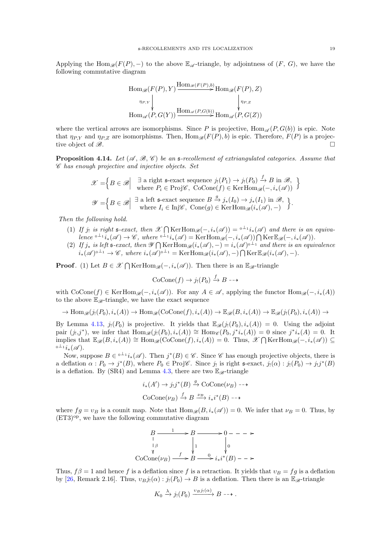Applying the Hom $\mathscr{B}(F(P), -)$  to the above  $\mathbb{E}_{\mathscr{A}}$ -triangle, by adjointness of  $(F, G)$ , we have the following commutative diagram

$$
\text{Hom}_{\mathscr{B}}(F(P), Y) \xrightarrow{\text{Hom}_{\mathscr{B}}(F(P), b)} \text{Hom}_{\mathscr{B}}(F(P), Z)
$$
\n
$$
\downarrow_{\eta_{P,Y}} \qquad \qquad \downarrow_{\eta_{P,Z}}
$$
\n
$$
\text{Hom}_{\mathscr{A}}(P, G(Y)) \xrightarrow{\text{Hom}_{\mathscr{A}}(P, G(b))} \text{Hom}_{\mathscr{A}}(P, G(Z))
$$

where the vertical arrows are isomorphisms. Since P is projective,  $\text{Hom}_{\mathscr{A}}(P, G(b))$  is epic. Note that  $\eta_{PX}$  and  $\eta_{P,Z}$  are isomorphisms. Then,  $\text{Hom}_{\mathscr{B}}(F(P), b)$  is epic. Therefore,  $F(P)$  is a projective object of  $\mathscr{B}$ .

<span id="page-18-0"></span>**Proposition 4.14.** Let  $(\mathcal{A}, \mathcal{B}, \mathcal{C})$  be an s-recollement of extriangulated categories. Assume that C has enough projective and injective objects. Set

$$
\mathscr{X} = \left\{ B \in \mathscr{B} \middle| \begin{array}{c} \exists \text{ a right } \mathfrak{s}\text{-exact sequence } j_!(P_1) \to j_!(P_0) \xrightarrow{f} B \text{ in } \mathscr{B}, \\ \text{where } P_i \in \text{Proj} \mathscr{C}, \text{ CoCone}(f) \in \text{KerHom}_{\mathscr{B}}(-, i_*(\mathscr{A})) \end{array} \right\}
$$

$$
\mathscr{Y} = \left\{ B \in \mathscr{B} \middle| \begin{array}{c} \exists \text{ a left } \mathfrak{s}\text{-exact sequence } B \xrightarrow{g} j_*(I_0) \to j_*(I_1) \text{ in } \mathscr{B}, \\ \text{where } I_i \in \text{Inj}\mathscr{C}, \text{ Cone}(g) \in \text{KerHom}_{\mathscr{B}}(i_*(\mathscr{A}),-) \end{array} \right\}.
$$

Then the following hold.

- (1) If j! is right s-exact, then  $\mathscr{X} \bigcap \text{KerHom}_{\mathscr{B}}(-, i_*(\mathscr{A})) = {}^{0 \perp_{1}}i_*(\mathscr{A})$  and there is an equiva $lence \iota^{\perp_1} i_*(\mathscr{A}) \to \mathscr{C}, \text{ where } \iota^{\perp_1} i_*(\mathscr{A}) = \text{KerHom}_{\mathscr{B}}(-, i_*(\mathscr{A})) \bigcap \text{Ker}\mathbb{E}_{\mathscr{B}}(-, i_*(\mathscr{A})).$
- (2) If  $j_*$  is left s-exact, then  $\mathscr{Y} \bigcap \text{KerHom}_{\mathscr{B}}(i_*(\mathscr{A}),-) = i_*(\mathscr{A})^{0 \perp_1}$  and there is an equivalence  $i_*(\mathscr{A})^{0\perp_1} \to \mathscr{C}$ , where  $i_*(\mathscr{A})^{0\perp_1} = \text{Ker}\text{Hom}_{\mathscr{B}}(i_*(\mathscr{A}),-) \bigcap \text{Ker}\mathbb{E}_{\mathscr{B}}(i_*(\mathscr{A}),-)$ .

**Proof.** (1) Let  $B \in \mathcal{X} \cap \text{KerHom}_{\mathcal{B}}(-, i_*(\mathcal{A}))$ . Then there is an  $\mathbb{E}_{\mathcal{B}}$ -triangle

$$
CoCone(f) \to j_!(P_0) \xrightarrow{f} B \dashrightarrow
$$

with  $\text{CoCone}(f) \in \text{KerHom}_{\mathscr{B}}(-, i_*(\mathscr{A}))$ . For any  $A \in \mathscr{A}$ , applying the functor  $\text{Hom}_{\mathscr{B}}(-, i_*(A))$ to the above  $\mathbb{E}_{\mathscr{B}}$ -triangle, we have the exact sequence

$$
\to \operatorname{Hom}_{\mathscr{B}}(j_!(P_0), i_*(A)) \to \operatorname{Hom}_{\mathscr{B}}(\operatorname{CoCone}(f), i_*(A)) \to \mathbb{E}_{\mathscr{B}}(B, i_*(A)) \to \mathbb{E}_{\mathscr{B}}(j_!(P_0), i_*(A)) \to
$$

By Lemma [4.13,](#page-17-1)  $j_!(P_0)$  is projective. It yields that  $\mathbb{E}_{\mathscr{B}}(j_!(P_0), i_*(A)) = 0$ . Using the adjoint pair  $(j_!,j^*)$ , we infer that  $\text{Hom}_{\mathscr{B}}(j_!(P_0),i_*(A)) \cong \text{Hom}_{\mathscr{C}}(P_0,j^*i_*(A)) = 0$  since  $j^*i_*(A) = 0$ . It implies that  $\mathbb{E}_{\mathscr{B}}(B, i_*(A)) \cong \text{Hom}_{\mathscr{B}}(\text{CoCone}(f), i_*(A)) = 0$ . Thus,  $\mathscr{X} \bigcap \text{KerHom}_{\mathscr{B}}(-, i_*(\mathscr{A})) \subseteq$  $^{\mathfrak{a} \perp_1}i_*(\mathscr{A}).$ 

Now, suppose  $B \in \mathbb{R}^{d-1}i_*(\mathscr{A})$ . Then  $j^*(B) \in \mathscr{C}$ . Since  $\mathscr{C}$  has enough projective objects, there is a deflation  $\alpha: P_0 \to j^*(B)$ , where  $P_0 \in Proj\mathscr{C}$ . Since  $j_!$  is right  $\mathfrak{s}$ -exact,  $j_!(\alpha): j_!(P_0) \to j_!j^*(B)$ is a deflation. By (SR4) and Lemma [4.3,](#page-13-3) there are two  $\mathbb{E}_{\mathscr{B}}$ -triangle

$$
i_*(A') \to j_!j^*(B) \xrightarrow{g} \text{CoCone}(\nu_B) \dashrightarrow
$$
  
CoCone $(\nu_B) \xrightarrow{f} B \xrightarrow{\nu_B} i_*i^*(B) \dashrightarrow$ 

where  $fg = v_B$  is a counit map. Note that  $\text{Hom}_{\mathscr{B}}(B, i_*(\mathscr{A})) = 0$ . We infer that  $\nu_B = 0$ . Thus, by  $(ET3)^\text{op}$ , we have the following commutative diagram

$$
B \longrightarrow B \longrightarrow 0 --- \rightarrow
$$
  
\n
$$
\downarrow^{\beta} \qquad \qquad \downarrow^{\alpha} \qquad \qquad \downarrow^{\beta}
$$
  
\n
$$
\text{CoCone}(\nu_B) \longrightarrow B \longrightarrow i_*i^*(B) --- \rightarrow
$$

Thus,  $f\beta = 1$  and hence f is a deflation since f is a retraction. It yields that  $v_B = fg$  is a deflation by [\[26,](#page-23-17) Remark 2.16]. Thus,  $v_B j_! (\alpha) : j_! (P_0) \to B$  is a deflation. Then there is an  $\mathbb{E}_{\mathscr{B}}$ -triangle

$$
K_0 \xrightarrow{\lambda} j_!(P_0) \xrightarrow{v_B j_!(\alpha)} B \dashrightarrow.
$$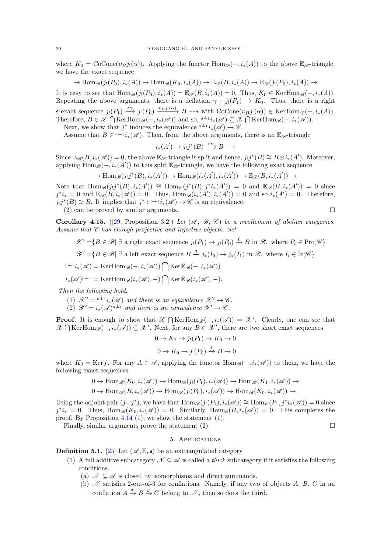where  $K_0 = \text{CoCone}(v_Bj_l(\alpha))$ . Applying the functor  $\text{Hom}_{\mathscr{B}}(-, i_*(A))$  to the above  $\mathbb{E}_{\mathscr{B}}$ -triangle, we have the exact sequence

$$
\to \operatorname{Hom}_{\mathscr{B}}(j_!(P_0), i_*(A)) \to \operatorname{Hom}_{\mathscr{B}}(K_0, i_*(A)) \to \mathbb{E}_{\mathscr{B}}(B, i_*(A)) \to \mathbb{E}_{\mathscr{B}}(j_!(P_0), i_*(A)) \to
$$

It is easy to see that  $\text{Hom}_{\mathscr{B}}(j_!(P_0), i_*(A)) = \mathbb{E}_{\mathscr{B}}(B, i_*(A)) = 0$ . Thus,  $K_0 \in \text{KerHom}_{\mathscr{B}}(-, i_*(A)).$ Repeating the above arguments, there is a deflation  $\gamma : j_!(P_1) \to K_0$ . Thus, there is a right  $\mathfrak{s}\text{-exact}$  sequence  $j_!(P_1) \xrightarrow{\lambda\gamma} j_!(P_0) \xrightarrow{v_B j_!(\alpha)} B \dashrightarrow \text{with CoCone}(v_B j_!(\alpha)) \in \text{KerHom}_{\mathscr{B}}(-, i_*(A)).$ Therefore,  $B \in \mathscr{X} \bigcap \text{KerHom}_{\mathscr{B}}(-, i_*(\mathscr{A}))$  and so,  $\Phi^{-1} i_*(\mathscr{A}) \subseteq \mathscr{X} \bigcap \text{KerHom}_{\mathscr{B}}(-, i_*(\mathscr{A})).$ 

Next, we show that  $j^*$  induces the equivalence  $\phi \rightharpoonup i_*(\mathscr{A}) \to \mathscr{C}$ .

Assume that  $B \in \mathbb{R}^{d}$  i<sub>\*</sub>( $\mathscr{A}$ ). Then, from the above arguments, there is an  $\mathbb{E}_{\mathscr{B}}$ -triangle

$$
i_*(A') \to j_!j^*(B) \xrightarrow{v_B} B \dashrightarrow
$$

Since  $\mathbb{E}_{\mathscr{B}}(B, i_*(\mathscr{A})) = 0$ , the above  $\mathbb{E}_{\mathscr{B}}$ -triangle is split and hence,  $j_!j^*(B) \cong B \oplus i_*(A')$ . Moreover, applying  $\text{Hom}_{\mathscr{B}}(-, i_*(A'))$  to this split  $\mathbb{E}_{\mathscr{B}}$ -triangle, we have the following exact sequence

$$
\to \operatorname{Hom}_{\mathscr{B}}(j_!j^*(B), i_*(A')) \to \operatorname{Hom}_{\mathscr{B}}(i_*(A'), i_*(A')) \to \mathbb{E}_{\mathscr{B}}(B, i_*(A')) \to
$$

Note that  $\text{Hom}_{\mathscr{B}}(j_!j^*(B), i_*(A')) \cong \text{Hom}_{\mathscr{C}}(j^*(B), j^*i_*(A')) = 0$  and  $\mathbb{E}_{\mathscr{B}}(B, i_*(A')) = 0$  since  $j^*i_* = 0$  and  $\mathbb{E}_{\mathscr{B}}(B, i_*(\mathscr{A})) = 0$ . Thus,  $\text{Hom}_{\mathscr{B}}(i_*(A'), i_*(A')) = 0$  and so  $i_*(A') = 0$ . Therefore,  $j_!j^*(B) \cong B$ . It implies that  $j^* : 0^{\perp_1}i_*(\mathscr{A}) \to \mathscr{C}$  is an equivalence.

(2) can be proved by similar arguments.

**Corollary 4.15.** ([29, Proposition 3.2]) Let 
$$
(\mathcal{A}, \mathcal{B}, \mathcal{C})
$$
 be a recollement of abelian categories.  
Assume that  $\mathcal{C}$  has enough projective and injective objects. Set

 $\mathscr{X}' = \{ B \in \mathscr{B} \mid \exists \text{ a right exact sequence } j_1(P_1) \to j_1(P_0) \stackrel{f}{\to} B \text{ in } \mathscr{B}, \text{ where } P_i \in \text{Proj}\mathscr{C} \}$ 

 $\mathscr{Y}' = \{ B \in \mathscr{B} \mid \exists \text{ a left exact sequence } B \stackrel{g}{\to} j_*(I_0) \to j_*(I_1) \text{ in } \mathscr{B}, \text{ where } I_i \in \text{Inj}\mathscr{C} \}$ 

$$
0^{\perp_1}i_*(\mathscr{A}) = \text{Ker}\operatorname{Hom}_{\mathscr{B}}(-,i_*(\mathscr{A})) \bigcap \text{Ker}\,\mathbb{E}_{\mathscr{B}}(-,i_*(\mathscr{A}))
$$

$$
i_*(\mathscr{A})^{0,\perp_1}=\operatorname{KerHom}_{\mathscr{B}}(i_*(\mathscr{A}),-)\bigcap \operatorname{Ker}\mathbb{E}_{\mathscr{B}}(i_*(\mathscr{A}),-).
$$

Then the following hold.

- (1)  $\mathscr{X}' = {}^{0} \perp {}^{1}i_{*}(\mathscr{A})$  and there is an equivalence  $\mathscr{X}' \to \mathscr{C}$ .
- (2)  $\mathscr{Y}' = i_*(\mathscr{A})^{0 \perp_1}$  and there is an equivalence  $\mathscr{Y}' \to \mathscr{C}$ .

**Proof.** It is enough to show that  $\mathscr{X} \bigcap \text{KerHom}_{\mathscr{B}}(-, i_*(\mathscr{A})) = \mathscr{X}'$ . Clearly, one can see that  $\mathscr{X} \bigcap \text{KerHom}_{\mathscr{B}}(-, i_*(\mathscr{A})) \subseteq \mathscr{X}'$ . Next, for any  $B \in \mathscr{X}'$ , there are two short exact sequences

$$
0 \to K_1 \to j_!(P_1) \to K_0 \to 0
$$

$$
0 \to K_0 \to j_!(P_0) \xrightarrow{f} B \to 0
$$

where  $K_0 = \text{Ker } f$ . For any  $A \in \mathscr{A}$ , applying the functor  $\text{Hom}_{\mathscr{B}}(-, i_*(\mathscr{A}))$  to them, we have the following exact sequences

$$
0 \to \operatorname{Hom}_{\mathscr{B}}(K_0, i_*(\mathscr{A})) \to \operatorname{Hom}_{\mathscr{B}}(j_!(P_1), i_*(\mathscr{A})) \to \operatorname{Hom}_{\mathscr{B}}(K_1, i_*(\mathscr{A})) \to
$$
  

$$
0 \to \operatorname{Hom}_{\mathscr{B}}(B, i_*(\mathscr{A})) \to \operatorname{Hom}_{\mathscr{B}}(j_!(P_0), i_*(\mathscr{A})) \to \operatorname{Hom}_{\mathscr{B}}(K_0, i_*(\mathscr{A})) \to
$$

Using the adjoint pair  $(j_!, j^*)$ , we have that  $\text{Hom}_{\mathscr{B}}(j_!(P_1), i_*(\mathscr{A})) \cong \text{Hom}_{\mathscr{C}}(P_1, j^*i_*(\mathscr{A})) = 0$  since  $j^*i_* = 0$ . Thus,  $\text{Hom}_{\mathscr{B}}(K_0, i_*(\mathscr{A})) = 0$ . Similarly,  $\text{Hom}_{\mathscr{B}}(B, i_*(\mathscr{A})) = 0$ . This completes the proof. By Proposition  $4.14$  (1), we show the statement (1).

Finally, similar arguments prove the statement  $(2)$ .

#### 5. Applications

**Definition 5.1.** [\[25\]](#page-23-33) Let  $(\mathscr{A}, \mathbb{E}, \mathfrak{s})$  be an extriangulated category

- (1) A full additive subcategory  $\mathcal{N} \subseteq \mathcal{A}$  is called a thick subcategory if it satisfies the following conditions.
	- (a)  $\mathcal{N} \subseteq \mathcal{A}$  is closed by isomorphisms and direct summands.
	- (b)  $\mathcal N$  satisfies 2-out-of-3 for conflations. Namely, if any two of objects A, B, C in an conflation  $A \xrightarrow{x} B \xrightarrow{y} C$  belong to  $\mathcal{N}$ , then so does the third.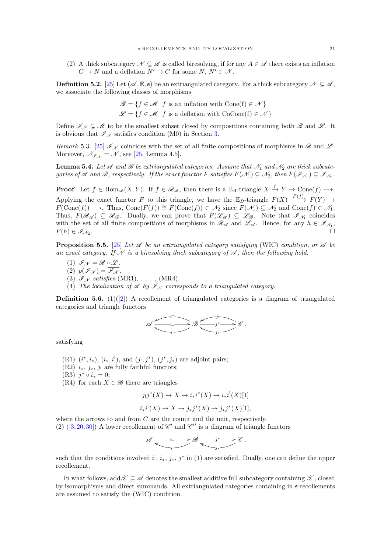(2) A thick subcategory  $\mathcal{N} \subseteq \mathcal{A}$  is called biresolving, if for any  $A \in \mathcal{A}$  there exists an inflation  $C \to N$  and a deflation  $N' \to C$  for some  $N, N' \in \mathcal{N}$ .

**Definition 5.2.** [\[25\]](#page-23-33) Let  $(\mathscr{A}, \mathbb{E}, \mathfrak{s})$  be an extriangulated category. For a thick subcategory  $\mathscr{N} \subseteq \mathscr{A}$ , we associate the following classes of morphisms.

$$
\mathcal{R} = \{ f \in \mathcal{M} | f \text{ is an inflation with Cone}(f) \in \mathcal{N} \}
$$

$$
\mathcal{L} = \{ f \in \mathcal{M} | f \text{ is a deflation with CoCone}(f) \in \mathcal{N} \}
$$

Define  $\mathscr{I}_{\mathscr{N}} \subseteq \mathscr{M}$  to be the smallest subset closed by compositions containing both  $\mathscr{R}$  and  $\mathscr{L}$ . It is obvious that  $\mathscr{I}_{\mathscr{N}}$  satisfies condition (M0) in Section [3.](#page-3-1)

Remark 5.3. [\[25\]](#page-23-33)  $\mathcal{I}_{\mathcal{N}}$  coincides with the set of all finite compositions of morphisms in  $\mathcal{R}$  and  $\mathcal{L}$ . Moreover,  $\mathcal{N}_{\mathscr{I}_{\mathcal{N}}} = \mathcal{N}$ , see [\[25,](#page-23-33) Lemma 4.5].

<span id="page-20-0"></span>**Lemma 5.4.** Let  $\mathscr A$  and  $\mathscr B$  be extriangulated categories. Assume that  $\mathscr N_1$  and  $\mathscr N_2$  are thick subcategories of  $\mathscr A$  and  $\mathscr B$ , respectively. If the exact functor F satisfies  $F(\mathscr N_1)\subseteq \mathscr N_2$ , then  $F(\mathscr I_{\mathscr N_1})\subseteq \mathscr I_{\mathscr N_2}$ .

**Proof.** Let  $f \in \text{Hom}_{\mathscr{A}}(X, Y)$ . If  $f \in \mathscr{R}_{\mathscr{A}}$ , then there is a  $\mathbb{E}_A$ -triangle  $X \stackrel{f}{\to} Y \to \text{Cone}(f) \dashrightarrow$ . Applying the exact functor F to this triangle, we have the  $\mathbb{E}_B$ -triangle  $F(X) \xrightarrow{F(f)} F(Y) \rightarrow$  $F(\text{Cone}(f)) \dashrightarrow$ . Thus,  $\text{Cone}(F(f)) \cong F(\text{Cone}(f)) \in \mathcal{N}_2$  since  $F(\mathcal{N}_1) \subseteq \mathcal{N}_2$  and  $\text{Cone}(f) \in \mathcal{N}_1$ . Thus,  $F(\mathcal{R}_{\mathscr{A}}) \subseteq \mathcal{R}_{\mathscr{B}}$ . Dually, we can prove that  $F(\mathcal{L}_{\mathscr{A}}) \subseteq \mathcal{L}_{\mathscr{B}}$ . Note that  $\mathscr{I}_{\mathscr{N}_1}$  coincides with the set of all finite compositions of morphisms in  $\mathscr{R}_{\mathscr{A}}$  and  $\mathscr{L}_{\mathscr{A}}$ . Hence, for any  $h \in \mathscr{I}_{\mathscr{N}_1}$ ,  $F(h) \in \mathscr{I}_{\mathscr{N}_2}.$ .

<span id="page-20-1"></span>**Proposition 5.5.** [\[25\]](#page-23-33) Let  $\mathscr A$  be an extriangulated category satisfying (WIC) condition, or  $\mathscr A$  be an exact category. If N is a biresolving thick subcategory of  $\mathscr A$ , then the following hold.

- (1)  $\mathcal{I}_N = \mathcal{R} \circ \mathcal{L}$ .
- (2)  $p(\mathscr{I}_{\mathscr{N}}) = \overline{\mathscr{I}_{\mathscr{N}}}$ .
- (3)  $\mathscr{I}_{\mathscr{N}}$  satisfies (MR1), ..., (MR4).
- (4) The localization of  $\mathscr A$  by  $\mathscr I_N$  corresponds to a triangulated category.

**Definition 5.6.** (1)([\[2\]](#page-23-0)) A recollement of triangulated categories is a diagram of triangulated categories and triangle functors



satisfying

- (R1)  $(i^*, i_*)$ ,  $(i_*, i^!)$ , and  $(j_!, j^*)$ ,  $(j^*, j_*)$  are adjoint pairs;
- (R2)  $i_*, j_*, j_!$  are fully faithful functors;
- (R3)  $j^* \circ i_* = 0;$
- (R4) for each  $X \in \mathscr{B}$  there are triangles

$$
j_!j^*(X) \to X \to i_*i^*(X) \to i_*i^!(X)[1]
$$

$$
i_*i^!(X) \to X \to j_*j^*(X) \to j_*j^*(X)[1],
$$

where the arrows to and from  $C$  are the counit and the unit, respectively. (2) ([\[3,](#page-23-34) [20,](#page-23-10) [30\]](#page-23-35)) A lower recollement of  $\mathscr{C}'$  and  $\mathscr{C}''$  is a diagram of triangle functors

$$
\mathscr{A} \xrightarrow{\hspace{-3mm}-i_*\longrightarrow} \mathscr{B} \xrightarrow{\hspace{-3mm}-j^* \longrightarrow} \mathscr{C}.
$$

such that the conditions involved  $i^!, i_*, j_*, j^*$  in (1) are satisfied. Dually, one can define the upper recollement.

In what follows, add  $\mathscr{X} \subseteq \mathscr{A}$  denotes the smallest additive full subcategory containing  $\mathscr{X}$ , closed by isomorphisms and direct summands. All extriangulated categories containing in s-recollements are assumed to satisfy the (WIC) condition.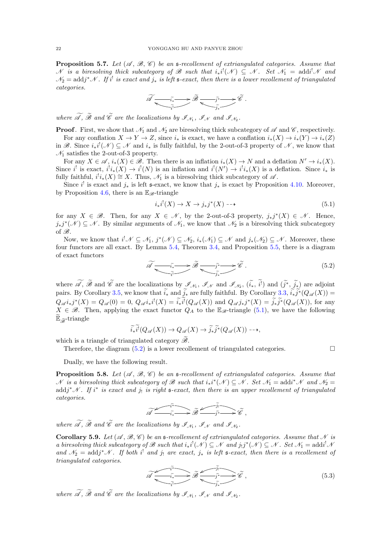<span id="page-21-2"></span>**Proposition 5.7.** Let  $(\mathcal{A}, \mathcal{B}, \mathcal{C})$  be an s-recollement of extriangulated categories. Assume that N is a biresolving thick subcategory of B such that  $i_*i^!(\mathcal{N}) \subseteq \mathcal{N}$ . Set  $\mathcal{N}_1 = \text{addi} \cdot \mathcal{N}$  and  $\mathcal{N}_2=\text{add}j^*\mathcal{N}$ . If i<sup>t</sup> is exact and  $j_*$  is left s-exact, then there is a lower recollement of triangulated categories.

$$
\widetilde{\mathscr{A}}\xrightarrow{\tilde{i_*}\xrightarrow{\tilde{j_*}}} \widetilde{\mathscr{B}}\xrightarrow{\tilde{j^*}\xrightarrow{\tilde{j^*}}}\widetilde{\mathscr{C}}\ .
$$

where  $\mathscr A$ ,  $\mathscr B$  and  $\mathscr C$  are the localizations by  $\mathscr I_{\mathcal N_1}$ ,  $\mathscr I_{\mathcal N}$  and  $\mathscr I_{\mathcal N_2}$ .

**Proof.** First, we show that  $\mathcal{N}_1$  and  $\mathcal{N}_2$  are biresolving thick subcategory of  $\mathcal{A}$  and  $\mathcal{C}$ , respectively. For any conflation  $X \to Y \to Z$ , since  $i_*$  is exact, we have a conflation  $i_*(X) \to i_*(Y) \to i_*(Z)$ in B. Since  $i_*i^!(\mathcal{N}) \subseteq \mathcal{N}$  and  $i_*$  is fully faithful, by the 2-out-of-3 property of  $\mathcal{N}$ , we know that  $\mathcal{N}_1$  satisfies the 2-out-of-3 property.

For any  $X \in \mathscr{A}$ ,  $i_*(X) \in \mathscr{B}$ . Then there is an inflation  $i_*(X) \to N$  and a deflation  $N' \to i_*(X)$ . Since i<sup>'</sup> is exact,  $i^i i_*(X) \to i^i(N)$  is an inflation and  $i^i(N') \to i^i i_*(X)$  is a deflation. Since  $i_*$  is fully faithful,  $i^i i_*(X) \cong X$ . Thus,  $\mathcal{N}_1$  is a biresolving thick subcategory of  $\mathscr{A}$ .

Since i<sup>!</sup> is exact and  $j_*$  is left s-exact, we know that  $j_*$  is exact by Proposition [4.10.](#page-15-3) Moreover, by Proposition [4.6,](#page-14-1) there is an  $\mathbb{E}_{\mathscr{B}}$ -triangle

<span id="page-21-0"></span>
$$
i_*i^!(X) \to X \to j_*j^*(X) \dashrightarrow \tag{5.1}
$$

for any  $X \in \mathscr{B}$ . Then, for any  $X \in \mathscr{N}$ , by the 2-out-of-3 property,  $j_*j^*(X) \in \mathscr{N}$ . Hence,  $j_*j^*(\mathcal{N}) \subseteq \mathcal{N}$ . By similar arguments of  $\mathcal{N}_1$ , we know that  $\mathcal{N}_2$  is a biresolving thick subcategory of  $\mathscr{B}$ .

Now, we know that  $i^! \mathcal{N} \subseteq \mathcal{N}_1$ ,  $j^* (\mathcal{N}) \subseteq \mathcal{N}_2$ ,  $i_*(\mathcal{N}_1) \subseteq \mathcal{N}$  and  $j_*(\mathcal{N}_2) \subseteq \mathcal{N}$ . Moreover, these four functors are all exact. By Lemma [5.4,](#page-20-0) Theorem [3.4,](#page-4-0) and Proposition [5.5,](#page-20-1) there is a diagram of exact functors

<span id="page-21-1"></span>
$$
\widetilde{\mathscr{A}} \xrightarrow{\widetilde{i}} \widetilde{\mathscr{B}} \xrightarrow{\widetilde{j}^*} \widetilde{\mathscr{B}} \xrightarrow{\widetilde{j}^*} \widetilde{\mathscr{C}}.
$$
\n(5.2)

where  $\mathscr A$ ,  $\mathscr B$  and  $\mathscr C$  are the localizations by  $\mathscr I_{\mathcal M}$ ,  $\mathscr I_{\mathcal N}$  and  $\mathscr I_{\mathcal M}$ ,  $(i_*, i^!)$  and  $(j^*, j_*)$  are adjoint pairs. By Corollary [3.5,](#page-11-1) we know that  $i_*$  and  $j_*$  are fully faithful. By Corollary [3.3,](#page-4-2)  $i_*j^*(Q_\mathscr{A}(X)) =$  $Q_{\mathscr{A} i_*j^*}(X) = Q_{\mathscr{A}}(0) = 0, Q_{\mathscr{A} i_*i^!}(X) = \tilde{i_*i^!}(Q_{\mathscr{A}}(X))$  and  $Q_{\mathscr{A} j_*j^*}(X) = \tilde{j_*j^*}(Q_{\mathscr{A}}(X))$ , for any  $X \in \mathscr{B}$ . Then, applying the exact functor  $Q_A$  to the  $\mathbb{E}_{\mathscr{B}}$ -triangle [\(5.1\)](#page-21-0), we have the following  $\widetilde{\mathbb{E}}_{\widetilde{\mathscr{B}}}$ -triangle

$$
\widetilde{i_*i^!}(Q_{\mathscr{A}}(X)) \to Q_{\mathscr{A}}(X) \to \widetilde{j_*j^*}(Q_{\mathscr{A}}(X)) \dashrightarrow,
$$

which is a triangle of triangulated category  $\mathscr{B}$ .

Therefore, the diagram  $(5.2)$  is a lower recollement of triangulated categories.

Dually, we have the following result.

**Proposition 5.8.** Let  $(\mathcal{A}, \mathcal{B}, \mathcal{C})$  be an s-recollement of extriangulated categories. Assume that N is a biresolving thick subcategory of B such that  $i_*i^*(\mathcal{N}) \subseteq \mathcal{N}$ . Set  $\mathcal{N}_1 = \text{add} i^*\mathcal{N}$  and  $\mathcal{N}_2 =$  $\text{add } j^* \mathscr{N}$ . If i<sup>\*</sup> is exact and j<sub>!</sub> is right  $\mathfrak{s}\text{-}exact$ , then there is an upper recollement of triangulated categories.

$$
\widetilde{\mathscr{A}} \xrightarrow{\widetilde{i}^*} \widetilde{\mathscr{B}} \xrightarrow{\widetilde{j}^*} \widetilde{\mathscr{C}} ,
$$

where  $\mathscr A$ ,  $\mathscr B$  and  $\mathscr C$  are the localizations by  $\mathscr I_{\mathcal N_1}$ ,  $\mathscr I_{\mathcal N}$  and  $\mathscr I_{\mathcal N_2}$ .

<span id="page-21-4"></span>**Corollary 5.9.** Let  $(\mathcal{A}, \mathcal{B}, \mathcal{C})$  be an s-recollement of extriangulated categories. Assume that N is a biresolving thick subcategory of B such that  $i_*i^!(\mathcal{N}) \subseteq \mathcal{N}$  and  $j_!j^*(\mathcal{N}) \subseteq \mathcal{N}$ . Set  $\mathcal{N}_1 = \text{addi}^!\mathcal{N}$ and  $\mathcal{N}_2 = \text{add} j^* \mathcal{N}$ . If both i<sup>1</sup> and j<sub>1</sub> are exact, j<sub>\*</sub> is left s-exact, then there is a recollement of triangulated categories.

<span id="page-21-3"></span>
$$
\widetilde{\mathscr{A}} \xrightarrow{\widetilde{i^*}} \widetilde{\mathscr{B}} \xrightarrow{\widetilde{j^*}} \widetilde{\mathscr{C}},
$$
\n
$$
\widetilde{i^*} \xrightarrow{\widetilde{j^*}} \widetilde{\mathscr{C}},
$$
\n
$$
(5.3)
$$

where  $\mathscr A$ ,  $\mathscr B$  and  $\mathscr C$  are the localizations by  $\mathscr I_{\mathcal N_1}$ ,  $\mathscr I_{\mathcal N}$  and  $\mathscr I_{\mathcal N_2}$ .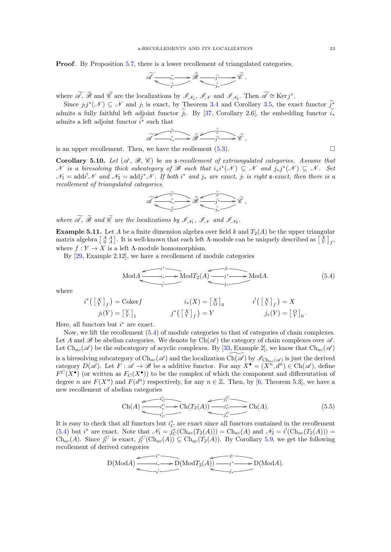Proof. By Proposition [5.7,](#page-21-2) there is a lower recollement of triangulated categories.

$$
\widetilde{\mathscr{A}}\xrightarrow{\widetilde{i_*}\xrightarrow{\widetilde{j_*}}} \widetilde{\mathscr{B}}\xrightarrow{\widetilde{j^*}\xrightarrow{\widetilde{j_*}}} \widetilde{\mathscr{C}}\ .
$$

where  $\widetilde{\mathscr{A}}, \widetilde{\mathscr{B}}$  and  $\widetilde{\mathscr{C}}$  are the localizations by  $\mathscr{I}_{\mathscr{N}_1}, \mathscr{I}_{\mathscr{N}}$  and  $\mathscr{I}_{\mathscr{N}_2}$ . Then  $\widetilde{\mathscr{A}} \cong \text{Kerj}^*$ .

Since  $j_!j^*(\mathcal{N}) \subseteq \mathcal{N}$  and  $j_!$  is exact, by Theorem [3.4](#page-4-0) and Corollary [3.5,](#page-11-1) the exact functor  $\tilde{j}^*$ admits a fully faithful left adjoint functor j. By [\[37,](#page-23-36) Corollary 2.6], the embedding functor  $i_*$ admits a left adjoint functor  $\widetilde{i^*}$  such that

$$
\widetilde{\mathscr{A}} \xrightarrow{\widetilde{i}} \widetilde{i} \longrightarrow \widetilde{\mathscr{B}} \xrightarrow{\widetilde{j}} \widetilde{j} \longmapsto \widetilde{\mathscr{C}} ,
$$

is an upper recollement. Then, we have the reollement  $(5.3)$ .

Corollary 5.10. Let  $(\mathscr{A}, \mathscr{B}, \mathscr{C})$  be an s-recollement of extriangulated categories. Assume that N is a biresolving thick subcategory of B such that  $i_*i^*(\mathcal{N}) \subseteq \mathcal{N}$  and  $j_*j^*(\mathcal{N}) \subseteq \mathcal{N}$ . Set  $\mathcal{N}_1 = \text{addi}^!\mathcal{N}$  and  $\mathcal{N}_2 = \text{addj}^*\mathcal{N}$ . If both i<sup>\*</sup> and  $j_*$  are exact,  $j_!$  is right s-exact, then there is a recollement of triangulated categories.

$$
\widetilde{\mathscr{A}}\xrightarrow{\widetilde{i^*}\xrightarrow[\widetilde{i^*}\xrightarrow[\widetilde{j^*}\xrightarrow[\widetilde{j^*}\xrightarrow[\widetilde{j^*}\xrightarrow[\widetilde{j^*}\xrightarrow[\widetilde{j^*}\xrightarrow[\widetilde{j^*}\xrightarrow[\widetilde{j^*}\xrightarrow[\widetilde{j^*}\xrightarrow[\widetilde{j^*}\xrightarrow[\widetilde{j^*}\xrightarrow[\widetilde{j^*}\xrightarrow[\widetilde{j^*}\xrightarrow[\widetilde{j^*}\xrightarrow[\widetilde{j^*}\xrightarrow[\widetilde{j^*}\xrightarrow[\widetilde{j^*}\xrightarrow[\widetilde{j^*}\xrightarrow[\widetilde{j^*}\xrightarrow[\widetilde{j^*}\xrightarrow[\widetilde{j^*}\xrightarrow[\widetilde{j^*}\xrightarrow[\widetilde{j^*}\xrightarrow[\widetilde{j^*}\xrightarrow[\widetilde{j^*}\xrightarrow[\widetilde{j^*}\xrightarrow[\widetilde{j^*}\xrightarrow[\widetilde{j^*}\xrightarrow[\widetilde{j^*}\xrightarrow[\widetilde{j^*}\xrightarrow[\widetilde{j^*}\xrightarrow[\widetilde{j^*}\xrightarrow[\widetilde{j^*}\xrightarrow[\widetilde{j^*}\xrightarrow[\widetilde{j^*}\xrightarrow[\widetilde{j^*}\xrightarrow[\widetilde{j^*}\xrightarrow[\widetilde{j^*}\xrightarrow[\widetilde{j^*}\xrightarrow[\widetilde{j^*}\xrightarrow[\widetilde{j^*}\xrightarrow[\widetilde{j^*}\xrightarrow[\widetilde{j^*}\xrightarrow[\widetilde{j^*}\xrightarrow[\widetilde{j^*}\xrightarrow[\widetilde{j^*}\xrightarrow[\widetilde{j^*}\xrightarrow[\widetilde{j^*}\xrightarrow[\widetilde{j^*}\xrightarrow[\widetilde{j^*}\xrightarrow[\widetilde{j^*}\xrightarrow[\widetilde{j^*}\xrightarrow[\widetilde{j^*}\xrightarrow[\widetilde{j^*}\xrightarrow[\widetilde{j^*}\xrightarrow[\widetilde{j^*}\xrightarrow[\widetilde{j^*}\xrightarrow[\widetilde{j^*}\xrightarrow[\widetilde{j^*}\xrightarrow[\widetilde{j^*}\xrightarrow[\widetilde{j^*}\xrightarrow[\widetilde{j^*}\xrightarrow[\widetilde{j^*}\xrightarrow[\widetilde{j^*}\xrightarrow[\widetilde{j^*}\xrightarrow[\widetilde{j^*}\xrightarrow[\widetilde{j^*}\xrightarrow[\widetilde{j^*}\xrightarrow[\widetilde{j^*}\xrightarrow[\widetilde{j^*}\xrightarrow[\widetilde{j^*}\xrightarrow[\widetilde{j^*}\xrightarrow[\widetilde{j^*}\xrightarrow[\widetilde{j^*
$$

where  $\mathscr A$ ,  $\mathscr B$  and  $\mathscr C$  are the localizations by  $\mathscr I_{\mathcal N_1}$ ,  $\mathscr I_{\mathcal N}$  and  $\mathscr I_{\mathcal N_2}$ .

**Example 5.11.** Let A be a finite dimension algebra over field k and  $T_2(A)$  be the upper triangular matrix algebra  $\begin{bmatrix} A & A \\ 0 & A \end{bmatrix}$ . It is well-known that each left  $\Lambda$ -module can be uniquely described as  $\begin{bmatrix} X \\ Y \end{bmatrix}_f$ , where  $f: Y \to X$  is a left  $\Lambda$ -module homomorphism.

By [\[29,](#page-23-16) Example 2.12], we have a recollement of module categories

<span id="page-22-0"></span>
$$
\text{Mod}A \xrightarrow{i^* \longrightarrow} \text{Mod}T_2(A) \xrightarrow{j^* \longrightarrow} \text{Mod}A. \tag{5.4}
$$

where

$$
i^*([\begin{array}{c} X \\ Y \end{array}]_f) = \text{Coker} f \qquad i_* (X) = [\begin{array}{c} X \\ \text{O} \end{array}]_0 \qquad i^!([\begin{array}{c} X \\ Y \end{array}]_f) = X
$$
  

$$
j_!(Y) = [\begin{array}{c} Y \\ Y \end{array}]_1 \qquad j^*([\begin{array}{c} X \\ Y \end{array}]_f) = Y \qquad j_*(Y) = [\begin{array}{c} \text{O} \\ Y \end{array}]_0.
$$

Here, all functors but  $i^*$  are exact.

Now, we lift the recollement [\(5.4\)](#page-22-0) of module categories to that of categories of chain complexes. Let A and B be abelian categories. We denote by  $Ch(\mathscr{A})$  the category of chain complexes over  $\mathscr{A}$ . Let  $\text{Ch}_{ac}(\mathscr{A})$  be the subcategory of acyclic complexes. By [\[33,](#page-23-37) Example 2], we know that  $\text{Ch}_{ac}(\mathscr{A})$ is a biresolving subcategory of  $\text{Ch}_{ac}(\mathscr{A})$  and the localization  $\widetilde{\text{Ch}(\mathscr{A})}$  by  $\mathscr{I}_{\text{Ch}_{ac}(\mathscr{A})}$  is just the derived category  $D(\mathscr{A})$ . Let  $F : \mathscr{A} \to \mathscr{B}$  be a additive functor. For any  $X^{\bullet} = (X^n, d^n) \in \text{Ch}(\mathscr{A})$ , define  $F^C(X^{\bullet})$  (or written as  $F_C(X^{\bullet})$ ) to be the complex of which the component and differentation of degree *n* are  $F(X^n)$  and  $F(d^n)$  respectively, for any  $n \in \mathbb{Z}$ . Then, by [\[6,](#page-23-38) Theorem 5.3], we have a new recollement of abelian categories

$$
\text{Ch}(A) \xrightarrow{i_c^c} \text{Ch}(T_2(A)) \xrightarrow{j_c^c} \text{Ch}(A). \tag{5.5}
$$

It is easy to check that all functors but  $i_C^*$  are exact since all functors contained in the recollement [\(5.4\)](#page-22-0) but i<sup>\*</sup> are exact. Note that  $\mathcal{N}_1 = j_C^*(\text{Ch}_{ac}(T_2(A))) = \text{Ch}_{ac}(A)$  and  $\mathcal{N}_2 = i^!(\text{Ch}_{ac}(T_2(A))) =$  $\text{Ch}_{ac}(A)$ . Since  $j_!^C$  is exact,  $j_!^C(\text{Ch}_{ac}(A)) \subseteq \text{Ch}_{ac}(T_2(A))$ . By Corollary [5.9,](#page-21-4) we get the following recollement of derived categories

$$
D(\text{Mod} A) \xrightarrow{i^*} D(\text{Mod} T_2(A)) \xrightarrow{j_1} D(\text{Mod} A).
$$